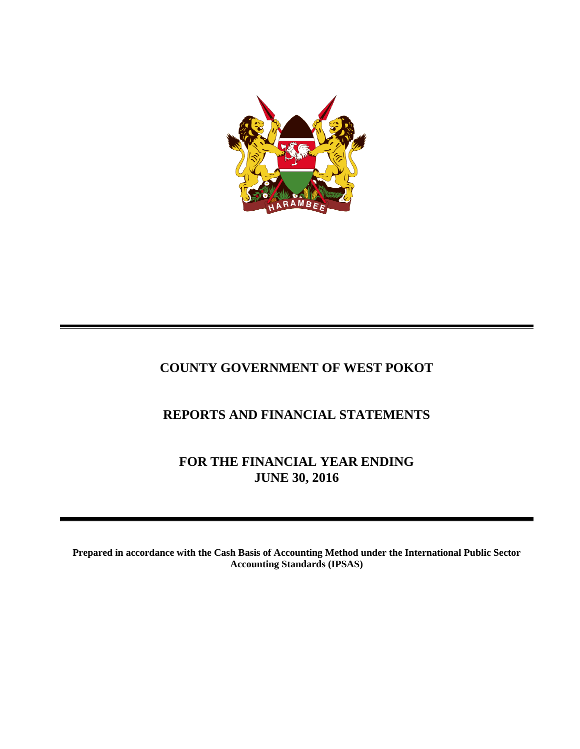

# **COUNTY GOVERNMENT OF WEST POKOT**

# **REPORTS AND FINANCIAL STATEMENTS**

**FOR THE FINANCIAL YEAR ENDING JUNE 30, 2016**

**Prepared in accordance with the Cash Basis of Accounting Method under the International Public Sector Accounting Standards (IPSAS)**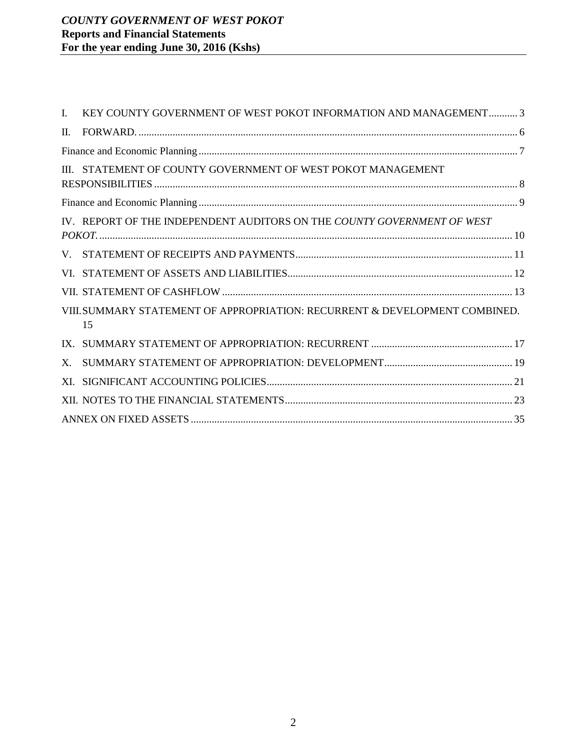| L.      | KEY COUNTY GOVERNMENT OF WEST POKOT INFORMATION AND MANAGEMENT 3                  |
|---------|-----------------------------------------------------------------------------------|
| $\Pi$ . |                                                                                   |
|         |                                                                                   |
|         | III. STATEMENT OF COUNTY GOVERNMENT OF WEST POKOT MANAGEMENT                      |
|         |                                                                                   |
|         | IV. REPORT OF THE INDEPENDENT AUDITORS ON THE COUNTY GOVERNMENT OF WEST           |
|         |                                                                                   |
|         |                                                                                   |
|         |                                                                                   |
|         | VIII. SUMMARY STATEMENT OF APPROPRIATION: RECURRENT & DEVELOPMENT COMBINED.<br>15 |
|         |                                                                                   |
| $X_{-}$ |                                                                                   |
| XL.     |                                                                                   |
|         |                                                                                   |
|         |                                                                                   |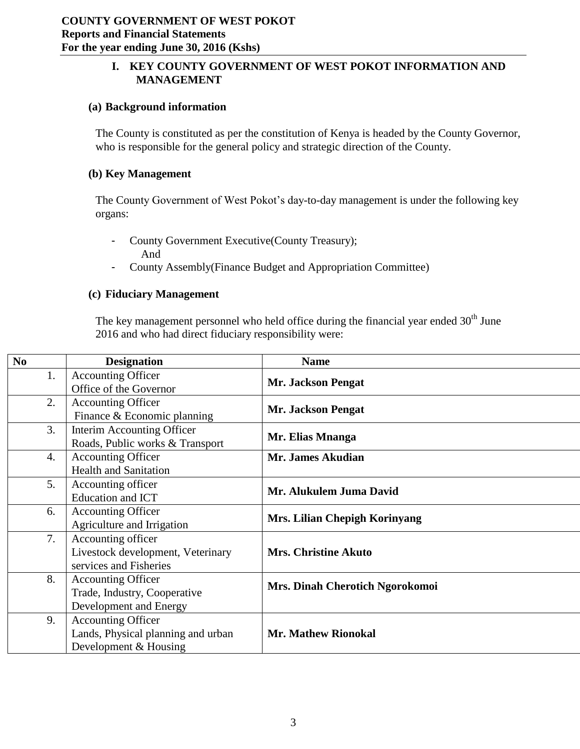# <span id="page-2-0"></span>**I. KEY COUNTY GOVERNMENT OF WEST POKOT INFORMATION AND MANAGEMENT**

#### **(a) Background information**

The County is constituted as per the constitution of Kenya is headed by the County Governor, who is responsible for the general policy and strategic direction of the County.

### **(b) Key Management**

The County Government of West Pokot's day-to-day management is under the following key organs:

- County Government Executive(County Treasury); And
- County Assembly(Finance Budget and Appropriation Committee)

### **(c) Fiduciary Management**

The key management personnel who held office during the financial year ended  $30<sup>th</sup>$  June 2016 and who had direct fiduciary responsibility were:

| $\bf No$ | <b>Designation</b>                 | <b>Name</b>                                     |
|----------|------------------------------------|-------------------------------------------------|
| 1.       | <b>Accounting Officer</b>          |                                                 |
|          | Office of the Governor             | Mr. Jackson Pengat<br><b>Mr. Jackson Pengat</b> |
| 2.       | <b>Accounting Officer</b>          |                                                 |
|          | Finance & Economic planning        |                                                 |
| 3.       | Interim Accounting Officer         | Mr. Elias Mnanga                                |
|          | Roads, Public works & Transport    |                                                 |
| 4.       | <b>Accounting Officer</b>          | Mr. James Akudian                               |
|          | <b>Health and Sanitation</b>       |                                                 |
| 5.       | Accounting officer                 | Mr. Alukulem Juma David                         |
|          | Education and ICT                  |                                                 |
| 6.       | <b>Accounting Officer</b>          | Mrs. Lilian Chepigh Korinyang                   |
|          | Agriculture and Irrigation         |                                                 |
| 7.       | Accounting officer                 |                                                 |
|          | Livestock development, Veterinary  | <b>Mrs. Christine Akuto</b>                     |
|          | services and Fisheries             |                                                 |
| 8.       | <b>Accounting Officer</b>          | Mrs. Dinah Cherotich Ngorokomoi                 |
|          | Trade, Industry, Cooperative       |                                                 |
|          | Development and Energy             |                                                 |
| 9.       | <b>Accounting Officer</b>          |                                                 |
|          | Lands, Physical planning and urban | <b>Mr. Mathew Rionokal</b>                      |
|          | Development & Housing              |                                                 |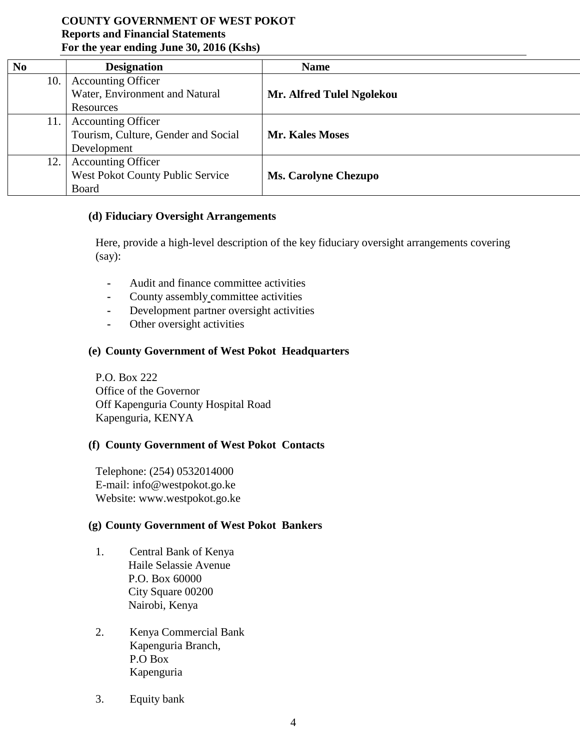| N <sub>0</sub> | <b>Designation</b>                  | <b>Name</b>                 |
|----------------|-------------------------------------|-----------------------------|
| 10.            | <b>Accounting Officer</b>           |                             |
|                | Water, Environment and Natural      | Mr. Alfred Tulel Ngolekou   |
|                | Resources                           |                             |
| 11.            | <b>Accounting Officer</b>           |                             |
|                | Tourism, Culture, Gender and Social | <b>Mr. Kales Moses</b>      |
|                | Development                         |                             |
| 12.            | <b>Accounting Officer</b>           |                             |
|                | West Pokot County Public Service    | <b>Ms. Carolyne Chezupo</b> |
|                | Board                               |                             |

#### **(d) Fiduciary Oversight Arrangements**

Here, provide a high-level description of the key fiduciary oversight arrangements covering (say):

- **-** Audit and finance committee activities
- **-** County assembly committee activities
- **-** Development partner oversight activities
- **-** Other oversight activities

#### **(e) County Government of West Pokot Headquarters**

P.O. Box 222 Office of the Governor Off Kapenguria County Hospital Road Kapenguria, KENYA

#### **(f) County Government of West Pokot Contacts**

Telephone: (254) 0532014000 E-mail: info@westpokot.go.ke Website: www.westpokot.go.ke

#### **(g) County Government of West Pokot Bankers**

- 1. Central Bank of Kenya Haile Selassie Avenue P.O. Box 60000 City Square 00200 Nairobi, Kenya
- 2. Kenya Commercial Bank Kapenguria Branch, P.O Box Kapenguria
- 3. Equity bank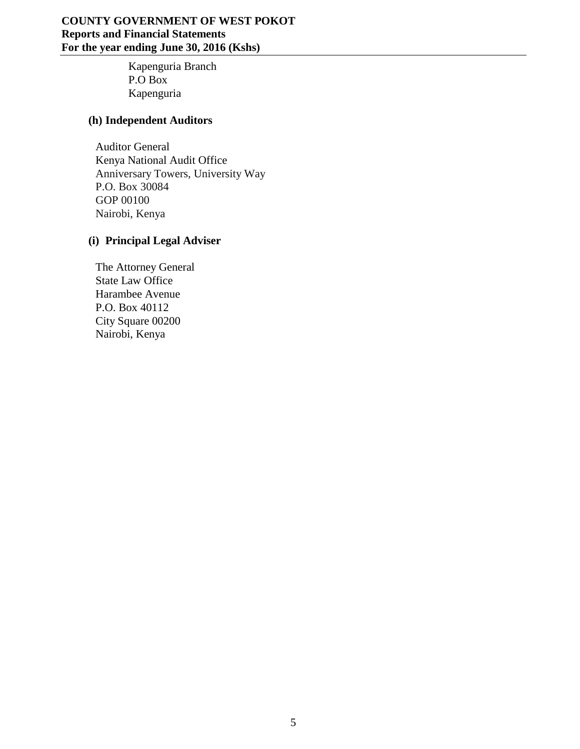Kapenguria Branch P.O Box Kapenguria

## **(h) Independent Auditors**

Auditor General Kenya National Audit Office Anniversary Towers, University Way P.O. Box 30084 GOP 00100 Nairobi, Kenya

# **(i) Principal Legal Adviser**

The Attorney General State Law Office Harambee Avenue P.O. Box 40112 City Square 00200 Nairobi, Kenya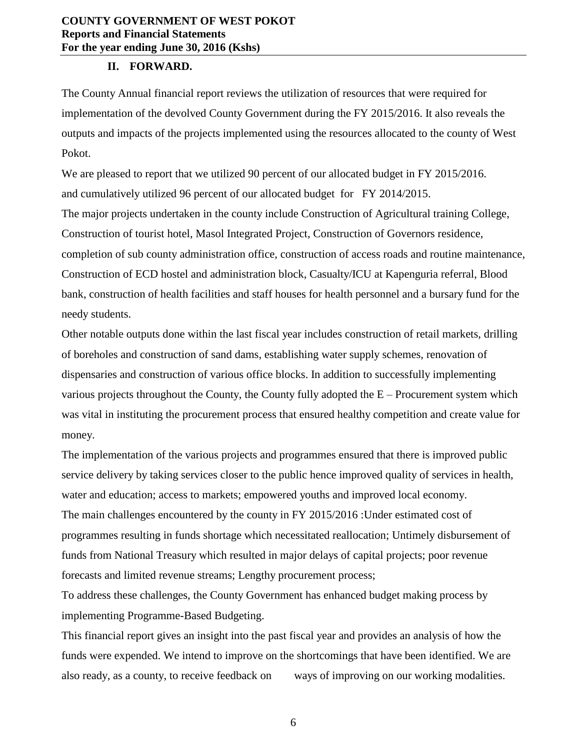#### **II. FORWARD.**

<span id="page-5-0"></span>The County Annual financial report reviews the utilization of resources that were required for implementation of the devolved County Government during the FY 2015/2016. It also reveals the outputs and impacts of the projects implemented using the resources allocated to the county of West Pokot.

We are pleased to report that we utilized 90 percent of our allocated budget in FY 2015/2016. and cumulatively utilized 96 percent of our allocated budget for FY 2014/2015.

The major projects undertaken in the county include Construction of Agricultural training College, Construction of tourist hotel, Masol Integrated Project, Construction of Governors residence, completion of sub county administration office, construction of access roads and routine maintenance, Construction of ECD hostel and administration block, Casualty/ICU at Kapenguria referral, Blood bank, construction of health facilities and staff houses for health personnel and a bursary fund for the needy students.

Other notable outputs done within the last fiscal year includes construction of retail markets, drilling of boreholes and construction of sand dams, establishing water supply schemes, renovation of dispensaries and construction of various office blocks. In addition to successfully implementing various projects throughout the County, the County fully adopted the E – Procurement system which was vital in instituting the procurement process that ensured healthy competition and create value for money.

The implementation of the various projects and programmes ensured that there is improved public service delivery by taking services closer to the public hence improved quality of services in health, water and education; access to markets; empowered youths and improved local economy. The main challenges encountered by the county in FY 2015/2016 :Under estimated cost of programmes resulting in funds shortage which necessitated reallocation; Untimely disbursement of funds from National Treasury which resulted in major delays of capital projects; poor revenue forecasts and limited revenue streams; Lengthy procurement process;

To address these challenges, the County Government has enhanced budget making process by implementing Programme-Based Budgeting.

This financial report gives an insight into the past fiscal year and provides an analysis of how the funds were expended. We intend to improve on the shortcomings that have been identified. We are also ready, as a county, to receive feedback on ways of improving on our working modalities.

6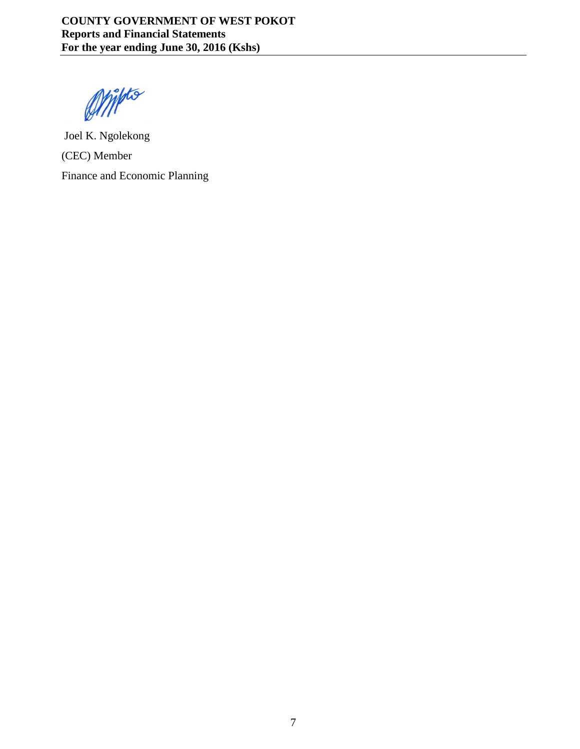Omitto

<span id="page-6-0"></span>Joel K. Ngolekong (CEC) Member Finance and Economic Planning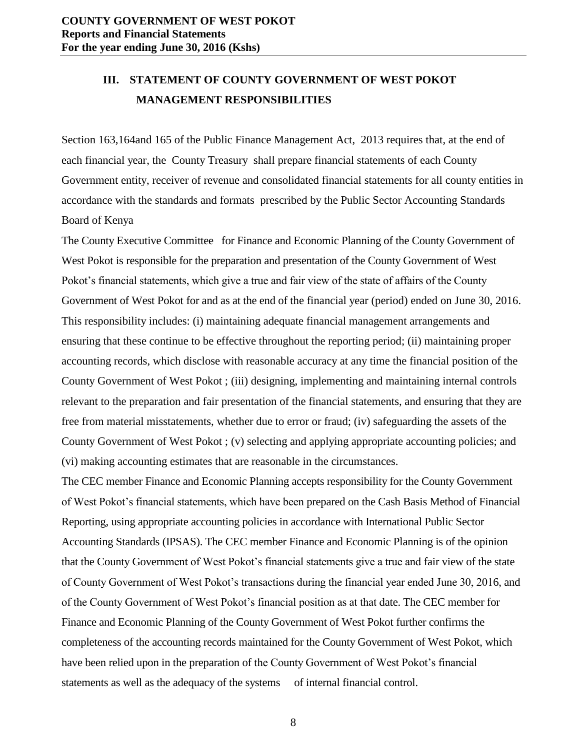# <span id="page-7-0"></span>**III. STATEMENT OF COUNTY GOVERNMENT OF WEST POKOT MANAGEMENT RESPONSIBILITIES**

Section 163,164and 165 of the Public Finance Management Act, 2013 requires that, at the end of each financial year, the County Treasury shall prepare financial statements of each County Government entity, receiver of revenue and consolidated financial statements for all county entities in accordance with the standards and formats prescribed by the Public Sector Accounting Standards Board of Kenya

The County Executive Committee for Finance and Economic Planning of the County Government of West Pokot is responsible for the preparation and presentation of the County Government of West Pokot's financial statements, which give a true and fair view of the state of affairs of the County Government of West Pokot for and as at the end of the financial year (period) ended on June 30, 2016. This responsibility includes: (i) maintaining adequate financial management arrangements and ensuring that these continue to be effective throughout the reporting period; (ii) maintaining proper accounting records, which disclose with reasonable accuracy at any time the financial position of the County Government of West Pokot ; (iii) designing, implementing and maintaining internal controls relevant to the preparation and fair presentation of the financial statements, and ensuring that they are free from material misstatements, whether due to error or fraud; (iv) safeguarding the assets of the County Government of West Pokot ; (v) selecting and applying appropriate accounting policies; and (vi) making accounting estimates that are reasonable in the circumstances.

The CEC member Finance and Economic Planning accepts responsibility for the County Government of West Pokot's financial statements, which have been prepared on the Cash Basis Method of Financial Reporting, using appropriate accounting policies in accordance with International Public Sector Accounting Standards (IPSAS). The CEC member Finance and Economic Planning is of the opinion that the County Government of West Pokot's financial statements give a true and fair view of the state of County Government of West Pokot's transactions during the financial year ended June 30, 2016, and of the County Government of West Pokot's financial position as at that date. The CEC member for Finance and Economic Planning of the County Government of West Pokot further confirms the completeness of the accounting records maintained for the County Government of West Pokot, which have been relied upon in the preparation of the County Government of West Pokot's financial statements as well as the adequacy of the systems of internal financial control.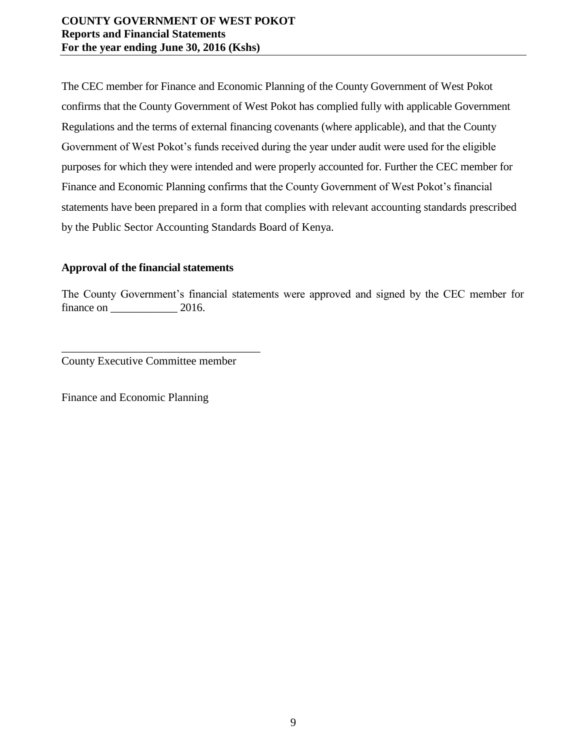The CEC member for Finance and Economic Planning of the County Government of West Pokot confirms that the County Government of West Pokot has complied fully with applicable Government Regulations and the terms of external financing covenants (where applicable), and that the County Government of West Pokot's funds received during the year under audit were used for the eligible purposes for which they were intended and were properly accounted for. Further the CEC member for Finance and Economic Planning confirms that the County Government of West Pokot's financial statements have been prepared in a form that complies with relevant accounting standards prescribed by the Public Sector Accounting Standards Board of Kenya.

## **Approval of the financial statements**

The County Government's financial statements were approved and signed by the CEC member for finance on  $2016$ .

County Executive Committee member

\_\_\_\_\_\_\_\_\_\_\_\_\_\_\_\_\_\_\_\_\_\_\_\_\_\_\_\_\_\_\_\_\_\_\_

<span id="page-8-0"></span>Finance and Economic Planning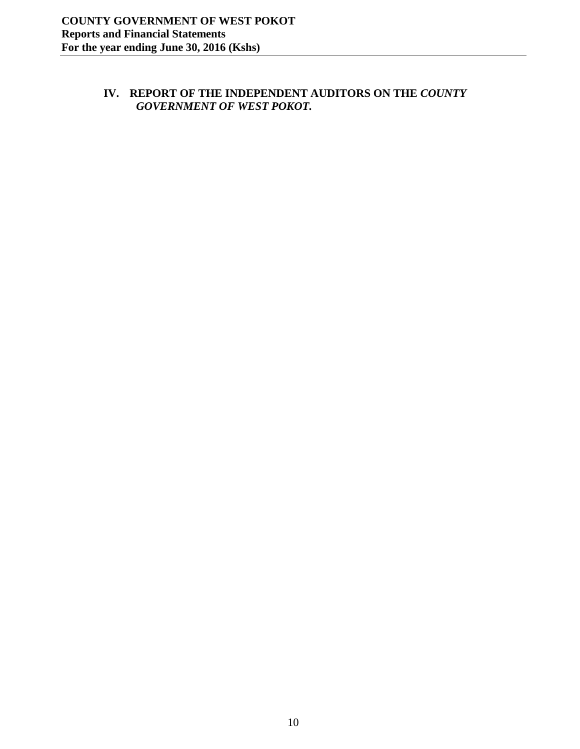# <span id="page-9-0"></span>**IV. REPORT OF THE INDEPENDENT AUDITORS ON THE** *COUNTY GOVERNMENT OF WEST POKOT.*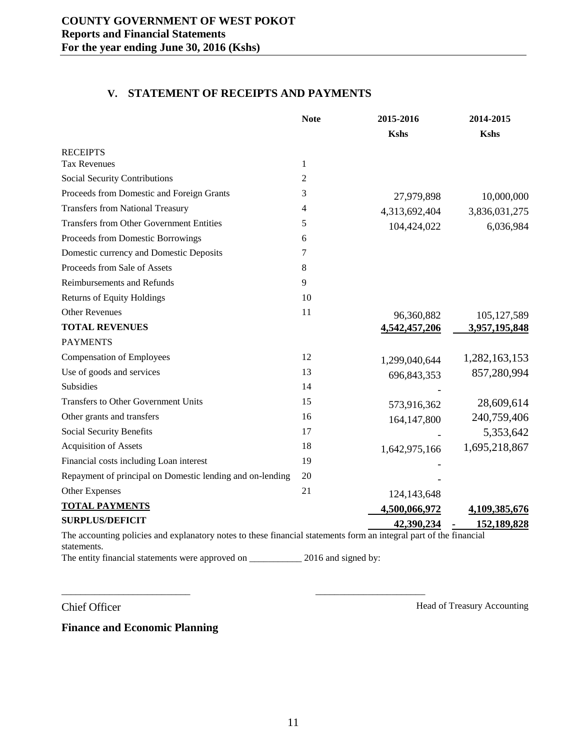## **V. STATEMENT OF RECEIPTS AND PAYMENTS**

<span id="page-10-0"></span>

|                                                                                                                                   | <b>Note</b>    | 2015-2016     | 2014-2015     |
|-----------------------------------------------------------------------------------------------------------------------------------|----------------|---------------|---------------|
|                                                                                                                                   |                | <b>Kshs</b>   | <b>Kshs</b>   |
| <b>RECEIPTS</b>                                                                                                                   |                |               |               |
| <b>Tax Revenues</b>                                                                                                               | $\mathbf{1}$   |               |               |
| Social Security Contributions                                                                                                     | $\overline{2}$ |               |               |
| Proceeds from Domestic and Foreign Grants                                                                                         | 3              | 27,979,898    | 10,000,000    |
| <b>Transfers from National Treasury</b>                                                                                           | 4              | 4,313,692,404 | 3,836,031,275 |
| <b>Transfers from Other Government Entities</b>                                                                                   | 5              | 104,424,022   | 6,036,984     |
| Proceeds from Domestic Borrowings                                                                                                 | 6              |               |               |
| Domestic currency and Domestic Deposits                                                                                           | 7              |               |               |
| Proceeds from Sale of Assets                                                                                                      | 8              |               |               |
| <b>Reimbursements and Refunds</b>                                                                                                 | 9              |               |               |
| <b>Returns of Equity Holdings</b>                                                                                                 | 10             |               |               |
| <b>Other Revenues</b>                                                                                                             | 11             | 96,360,882    | 105, 127, 589 |
| <b>TOTAL REVENUES</b>                                                                                                             |                | 4,542,457,206 | 3,957,195,848 |
| <b>PAYMENTS</b>                                                                                                                   |                |               |               |
| <b>Compensation of Employees</b>                                                                                                  | 12             | 1,299,040,644 | 1,282,163,153 |
| Use of goods and services                                                                                                         | 13             | 696, 843, 353 | 857,280,994   |
| Subsidies                                                                                                                         | 14             |               |               |
| <b>Transfers to Other Government Units</b>                                                                                        | 15             | 573,916,362   | 28,609,614    |
| Other grants and transfers                                                                                                        | 16             | 164,147,800   | 240,759,406   |
| Social Security Benefits                                                                                                          | 17             |               | 5,353,642     |
| <b>Acquisition of Assets</b>                                                                                                      | 18             | 1,642,975,166 | 1,695,218,867 |
| Financial costs including Loan interest                                                                                           | 19             |               |               |
| Repayment of principal on Domestic lending and on-lending                                                                         | 20             |               |               |
| Other Expenses                                                                                                                    | 21             | 124,143,648   |               |
| <b>TOTAL PAYMENTS</b>                                                                                                             |                | 4,500,066,972 | 4,109,385,676 |
| <b>SURPLUS/DEFICIT</b>                                                                                                            |                | 42,390,234    | 152,189,828   |
| The accounting policies and explanatory notes to these financial statements form an integral part of the financial<br>statements. |                |               |               |

The entity financial statements were approved on \_\_\_\_\_\_\_\_\_\_\_\_\_\_ 2016 and signed by:

\_\_\_\_\_\_\_\_\_\_\_\_\_\_\_\_\_\_\_\_\_\_\_\_\_\_\_ \_\_\_\_\_\_\_\_\_\_\_\_\_\_\_\_\_\_\_\_\_\_\_

Chief Officer Head of Treasury Accounting

**Finance and Economic Planning**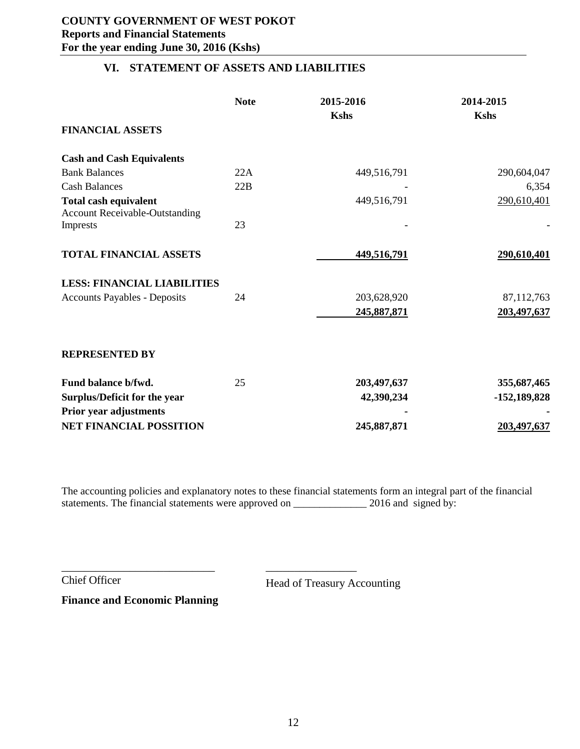## **VI. STATEMENT OF ASSETS AND LIABILITIES**

<span id="page-11-0"></span>

|                                                                       | <b>Note</b> | 2015-2016   | 2014-2015      |
|-----------------------------------------------------------------------|-------------|-------------|----------------|
|                                                                       |             | <b>Kshs</b> | <b>Kshs</b>    |
| <b>FINANCIAL ASSETS</b>                                               |             |             |                |
| <b>Cash and Cash Equivalents</b>                                      |             |             |                |
| <b>Bank Balances</b>                                                  | 22A         | 449,516,791 | 290,604,047    |
| <b>Cash Balances</b>                                                  | 22B         |             | 6,354          |
| <b>Total cash equivalent</b><br><b>Account Receivable-Outstanding</b> |             | 449,516,791 | 290,610,401    |
| Imprests                                                              | 23          |             |                |
| <b>TOTAL FINANCIAL ASSETS</b>                                         |             | 449,516,791 | 290,610,401    |
| <b>LESS: FINANCIAL LIABILITIES</b>                                    |             |             |                |
| <b>Accounts Payables - Deposits</b>                                   | 24          | 203,628,920 | 87,112,763     |
|                                                                       |             | 245,887,871 | 203,497,637    |
| <b>REPRESENTED BY</b>                                                 |             |             |                |
| Fund balance b/fwd.                                                   | 25          | 203,497,637 | 355,687,465    |
| Surplus/Deficit for the year                                          |             | 42,390,234  | $-152,189,828$ |
| Prior year adjustments<br><b>NET FINANCIAL POSSITION</b>              |             | 245,887,871 | 203,497,637    |

The accounting policies and explanatory notes to these financial statements form an integral part of the financial statements. The financial statements were approved on \_\_\_\_\_\_\_\_\_\_\_\_\_\_ 2016 and signed by:

Chief Officer Head of Treasury Accounting

**Finance and Economic Planning**

\_\_\_\_\_\_\_\_\_\_\_\_\_\_\_\_\_\_\_\_\_\_\_\_\_\_\_ \_\_\_\_\_\_\_\_\_\_\_\_\_\_\_\_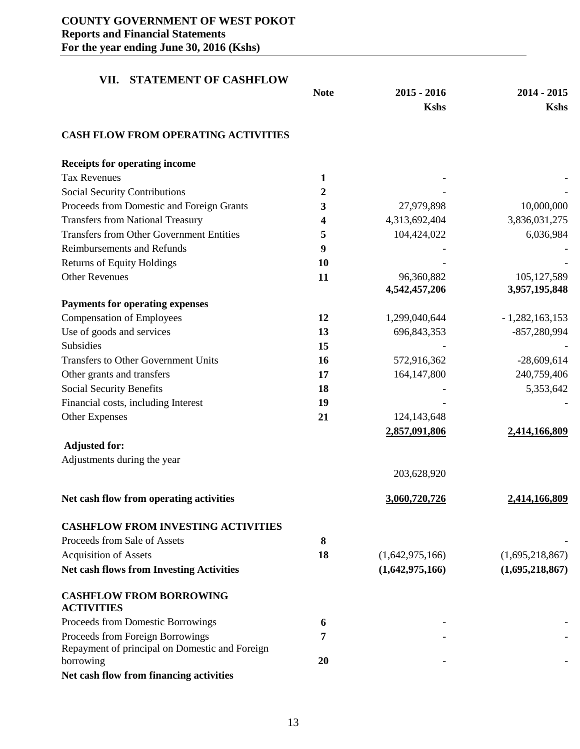<span id="page-12-0"></span>

| <b>STATEMENT OF CASHFLOW</b><br>VII.            |             |                 |                  |
|-------------------------------------------------|-------------|-----------------|------------------|
|                                                 | <b>Note</b> | $2015 - 2016$   | 2014 - 2015      |
|                                                 |             | <b>Kshs</b>     | <b>Kshs</b>      |
| <b>CASH FLOW FROM OPERATING ACTIVITIES</b>      |             |                 |                  |
| <b>Receipts for operating income</b>            |             |                 |                  |
| <b>Tax Revenues</b>                             | 1           |                 |                  |
| <b>Social Security Contributions</b>            | 2           |                 |                  |
| Proceeds from Domestic and Foreign Grants       | 3           | 27,979,898      | 10,000,000       |
| <b>Transfers from National Treasury</b>         | 4           | 4,313,692,404   | 3,836,031,275    |
| <b>Transfers from Other Government Entities</b> | 5           | 104,424,022     | 6,036,984        |
| <b>Reimbursements and Refunds</b>               | 9           |                 |                  |
| <b>Returns of Equity Holdings</b>               | 10          |                 |                  |
| <b>Other Revenues</b>                           | 11          | 96,360,882      | 105,127,589      |
|                                                 |             | 4,542,457,206   | 3,957,195,848    |
| <b>Payments for operating expenses</b>          |             |                 |                  |
| <b>Compensation of Employees</b>                | 12          | 1,299,040,644   | $-1,282,163,153$ |
| Use of goods and services                       | 13          | 696, 843, 353   | $-857,280,994$   |
| Subsidies                                       | 15          |                 |                  |
| <b>Transfers to Other Government Units</b>      | 16          | 572,916,362     | $-28,609,614$    |
| Other grants and transfers                      | 17          | 164,147,800     | 240,759,406      |
| <b>Social Security Benefits</b>                 | 18          |                 | 5,353,642        |
| Financial costs, including Interest             | 19          |                 |                  |
| <b>Other Expenses</b>                           | 21          | 124, 143, 648   |                  |
|                                                 |             | 2,857,091,806   | 2,414,166,809    |
| <b>Adjusted for:</b>                            |             |                 |                  |
| Adjustments during the year                     |             |                 |                  |
|                                                 |             | 203,628,920     |                  |
| Net cash flow from operating activities         |             | 3,060,720,726   | 2,414,166,809    |
| <b>CASHFLOW FROM INVESTING ACTIVITIES</b>       |             |                 |                  |
| Proceeds from Sale of Assets                    | 8           |                 |                  |
| <b>Acquisition of Assets</b>                    | 18          | (1,642,975,166) | (1,695,218,867)  |
| Net cash flows from Investing Activities        |             | (1,642,975,166) | (1,695,218,867)  |
| <b>CASHFLOW FROM BORROWING</b>                  |             |                 |                  |
| <b>ACTIVITIES</b>                               |             |                 |                  |
| Proceeds from Domestic Borrowings               | 6           |                 |                  |
| Proceeds from Foreign Borrowings                | 7           |                 |                  |
| Repayment of principal on Domestic and Foreign  |             |                 |                  |
| borrowing                                       | 20          |                 |                  |
| Net cash flow from financing activities         |             |                 |                  |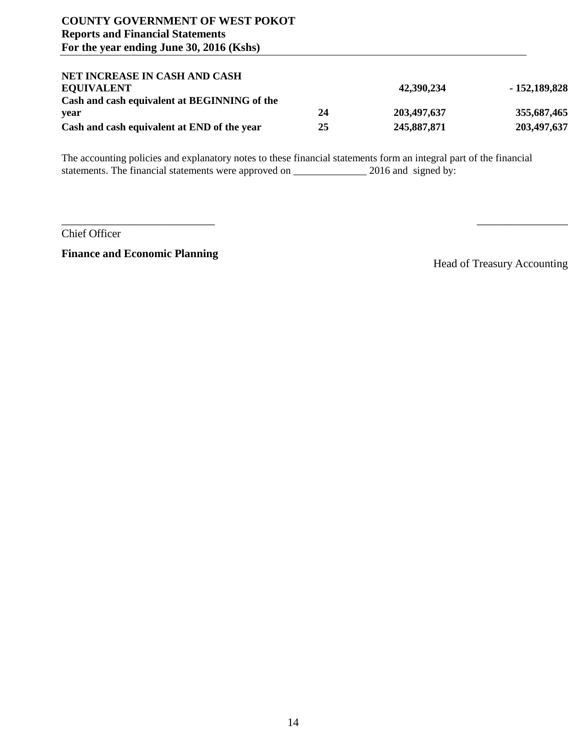| NET INCREASE IN CASH AND CASH                |    |             |                |
|----------------------------------------------|----|-------------|----------------|
| <b>EOUIVALENT</b>                            |    | 42,390,234  | $-152,189,828$ |
| Cash and cash equivalent at BEGINNING of the |    |             |                |
| vear                                         | 24 | 203,497,637 | 355,687,465    |
| Cash and cash equivalent at END of the year  | 25 | 245,887,871 | 203,497,637    |

 $\overline{\phantom{a}}$  , and the contract of the contract of the contract of the contract of the contract of the contract of the contract of the contract of the contract of the contract of the contract of the contract of the contrac

The accounting policies and explanatory notes to these financial statements form an integral part of the financial statements. The financial statements were approved on \_\_\_\_\_\_\_\_\_\_\_\_\_\_ 2016 and signed by:

Chief Officer

**Finance and Economic Planning**

Head of Treasury Accounting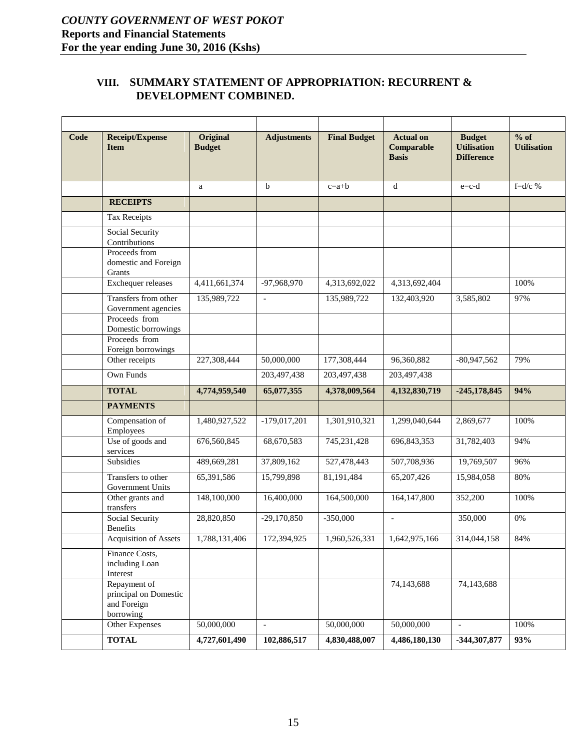## <span id="page-14-0"></span>**VIII. SUMMARY STATEMENT OF APPROPRIATION: RECURRENT & DEVELOPMENT COMBINED.**

| Code | <b>Receipt/Expense</b><br><b>Item</b>                             | <b>Original</b><br><b>Budget</b> | <b>Adjustments</b>       | <b>Final Budget</b> | <b>Actual on</b><br>Comparable<br><b>Basis</b> | <b>Budget</b><br><b>Utilisation</b><br><b>Difference</b> | $%$ of<br><b>Utilisation</b> |
|------|-------------------------------------------------------------------|----------------------------------|--------------------------|---------------------|------------------------------------------------|----------------------------------------------------------|------------------------------|
|      |                                                                   | a                                | $\mathbf b$              | $c=a+b$             | d                                              | $e = c-d$                                                | $f = d/c$ %                  |
|      | <b>RECEIPTS</b>                                                   |                                  |                          |                     |                                                |                                                          |                              |
|      | <b>Tax Receipts</b>                                               |                                  |                          |                     |                                                |                                                          |                              |
|      | Social Security<br>Contributions                                  |                                  |                          |                     |                                                |                                                          |                              |
|      | Proceeds from<br>domestic and Foreign<br>Grants                   |                                  |                          |                     |                                                |                                                          |                              |
|      | Exchequer releases                                                | 4,411,661,374                    | -97,968,970              | 4,313,692,022       | 4,313,692,404                                  |                                                          | 100%                         |
|      | Transfers from other<br>Government agencies                       | 135,989,722                      | $\mathcal{L}$            | 135,989,722         | 132,403,920                                    | 3,585,802                                                | 97%                          |
|      | Proceeds from<br>Domestic borrowings                              |                                  |                          |                     |                                                |                                                          |                              |
|      | Proceeds from<br>Foreign borrowings                               |                                  |                          |                     |                                                |                                                          |                              |
|      | Other receipts                                                    | 227,308,444                      | 50,000,000               | 177,308,444         | 96,360,882                                     | $-80,947,562$                                            | 79%                          |
|      | Own Funds                                                         |                                  | 203,497,438              | 203,497,438         | 203,497,438                                    |                                                          |                              |
|      | <b>TOTAL</b>                                                      | 4,774,959,540                    | 65,077,355               | 4,378,009,564       | 4,132,830,719                                  | $-245,178,845$                                           | 94%                          |
|      | <b>PAYMENTS</b>                                                   |                                  |                          |                     |                                                |                                                          |                              |
|      | Compensation of<br>Employees                                      | 1,480,927,522                    | $-179,017,201$           | 1,301,910,321       | 1,299,040,644                                  | 2,869,677                                                | 100%                         |
|      | Use of goods and<br>services                                      | 676,560,845                      | 68,670,583               | 745,231,428         | 696, 843, 353                                  | 31,782,403                                               | 94%                          |
|      | Subsidies                                                         | 489,669,281                      | 37,809,162               | 527,478,443         | 507,708,936                                    | 19,769,507                                               | 96%                          |
|      | Transfers to other<br>Government Units                            | 65,391,586                       | 15,799,898               | 81,191,484          | 65,207,426                                     | 15,984,058                                               | 80%                          |
|      | Other grants and<br>transfers                                     | 148,100,000                      | 16,400,000               | 164,500,000         | 164,147,800                                    | 352,200                                                  | 100%                         |
|      | <b>Social Security</b><br><b>Benefits</b>                         | 28,820,850                       | $-29,170,850$            | $-350,000$          | $\overline{\phantom{a}}$                       | 350,000                                                  | $0\%$                        |
|      | Acquisition of Assets                                             | 1,788,131,406                    | 172,394,925              | 1.960.526.331       | 1.642.975.166                                  | 314,044,158                                              | 84%                          |
|      | Finance Costs,<br>including Loan<br>Interest                      |                                  |                          |                     |                                                |                                                          |                              |
|      | Repayment of<br>principal on Domestic<br>and Foreign<br>borrowing |                                  |                          |                     | 74,143,688                                     | 74,143,688                                               |                              |
|      | Other Expenses                                                    | 50,000,000                       | $\overline{\phantom{a}}$ | 50,000,000          | 50,000,000                                     | $\overline{\phantom{a}}$                                 | 100%                         |
|      | <b>TOTAL</b>                                                      | 4,727,601,490                    | 102,886,517              | 4,830,488,007       | 4,486,180,130                                  | -344,307,877                                             | 93%                          |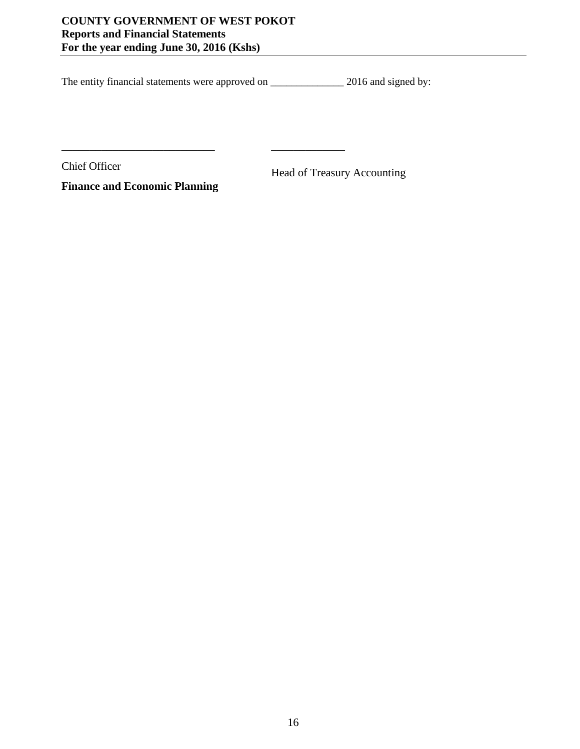\_\_\_\_\_\_\_\_\_\_\_\_\_\_\_\_\_\_\_\_\_\_\_\_\_\_\_ \_\_\_\_\_\_\_\_\_\_\_\_\_

The entity financial statements were approved on \_\_\_\_\_\_\_\_\_\_\_\_\_\_\_\_\_\_ 2016 and signed by:

Chief Officer Head of Treasury Accounting

**Finance and Economic Planning**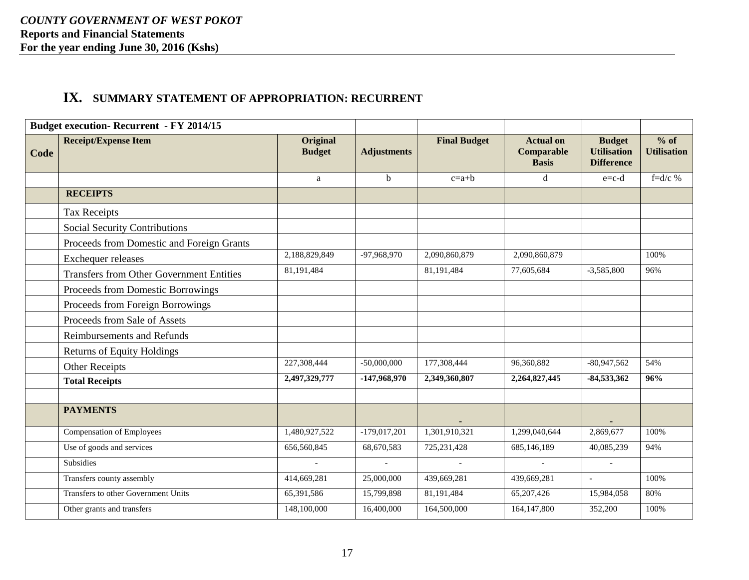# **IX. SUMMARY STATEMENT OF APPROPRIATION: RECURRENT**

<span id="page-16-0"></span>

|      | <b>Budget execution- Recurrent - FY 2014/15</b> |                                  |                    |                     |                                                |                                                          |                              |
|------|-------------------------------------------------|----------------------------------|--------------------|---------------------|------------------------------------------------|----------------------------------------------------------|------------------------------|
| Code | <b>Receipt/Expense Item</b>                     | <b>Original</b><br><b>Budget</b> | <b>Adjustments</b> | <b>Final Budget</b> | <b>Actual on</b><br>Comparable<br><b>Basis</b> | <b>Budget</b><br><b>Utilisation</b><br><b>Difference</b> | $%$ of<br><b>Utilisation</b> |
|      |                                                 | a                                | b                  | $c=a+b$             | d                                              | $e=c-d$                                                  | f= $d/c$ %                   |
|      | <b>RECEIPTS</b>                                 |                                  |                    |                     |                                                |                                                          |                              |
|      | <b>Tax Receipts</b>                             |                                  |                    |                     |                                                |                                                          |                              |
|      | Social Security Contributions                   |                                  |                    |                     |                                                |                                                          |                              |
|      | Proceeds from Domestic and Foreign Grants       |                                  |                    |                     |                                                |                                                          |                              |
|      | Exchequer releases                              | 2,188,829,849                    | -97,968,970        | 2,090,860,879       | 2,090,860,879                                  |                                                          | 100%                         |
|      | <b>Transfers from Other Government Entities</b> | 81,191,484                       |                    | 81,191,484          | 77,605,684                                     | $-3,585,800$                                             | 96%                          |
|      | Proceeds from Domestic Borrowings               |                                  |                    |                     |                                                |                                                          |                              |
|      | Proceeds from Foreign Borrowings                |                                  |                    |                     |                                                |                                                          |                              |
|      | Proceeds from Sale of Assets                    |                                  |                    |                     |                                                |                                                          |                              |
|      | <b>Reimbursements and Refunds</b>               |                                  |                    |                     |                                                |                                                          |                              |
|      | <b>Returns of Equity Holdings</b>               |                                  |                    |                     |                                                |                                                          |                              |
|      | <b>Other Receipts</b>                           | 227,308,444                      | $-50,000,000$      | 177,308,444         | 96,360,882                                     | $-80,947,562$                                            | 54%                          |
|      | <b>Total Receipts</b>                           | 2,497,329,777                    | $-147,968,970$     | 2,349,360,807       | 2,264,827,445                                  | $-84,533,362$                                            | 96%                          |
|      |                                                 |                                  |                    |                     |                                                |                                                          |                              |
|      | <b>PAYMENTS</b>                                 |                                  |                    |                     |                                                |                                                          |                              |
|      | <b>Compensation of Employees</b>                | 1,480,927,522                    | $-179,017,201$     | 1,301,910,321       | 1,299,040,644                                  | 2,869,677                                                | 100%                         |
|      | Use of goods and services                       | 656,560,845                      | 68,670,583         | 725, 231, 428       | 685,146,189                                    | 40,085,239                                               | 94%                          |
|      | Subsidies                                       | $\overline{a}$                   | $\sim$             | $\mathbf{r}$        | $\sim$                                         | $\mathbf{r}$                                             |                              |
|      | Transfers county assembly                       | 414,669,281                      | 25,000,000         | 439,669,281         | 439,669,281                                    | $\overline{\phantom{a}}$                                 | 100%                         |
|      | <b>Transfers to other Government Units</b>      | 65,391,586                       | 15,799,898         | 81,191,484          | 65,207,426                                     | 15,984,058                                               | 80%                          |
|      | Other grants and transfers                      | 148,100,000                      | 16,400,000         | 164,500,000         | 164, 147, 800                                  | 352,200                                                  | 100%                         |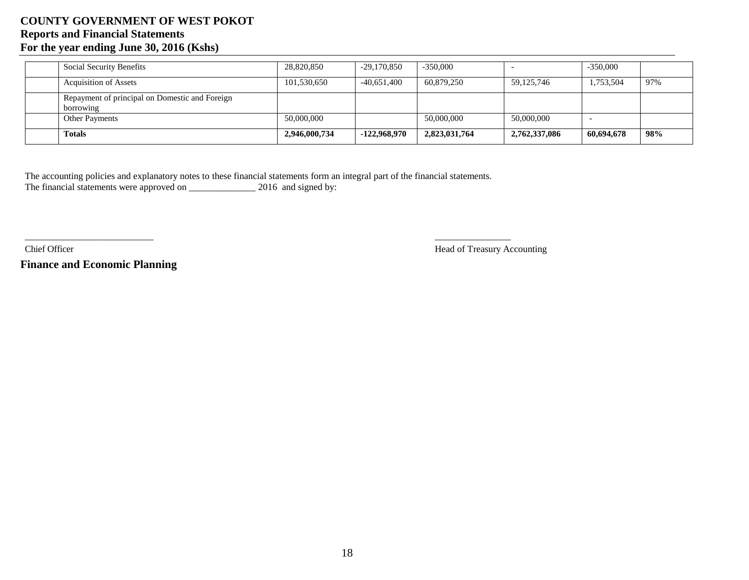| <b>Social Security Benefits</b>                             | 28,820,850    | $-29,170,850$  | $-350,000$    |               | $-350,000$ |     |
|-------------------------------------------------------------|---------------|----------------|---------------|---------------|------------|-----|
| <b>Acquisition of Assets</b>                                | 101,530,650   | $-40,651,400$  | 60,879,250    | 59,125,746    | 1,753,504  | 97% |
| Repayment of principal on Domestic and Foreign<br>borrowing |               |                |               |               |            |     |
| <b>Other Payments</b>                                       | 50,000,000    |                | 50,000,000    | 50,000,000    |            |     |
| <b>Totals</b>                                               | 2,946,000,734 | $-122,968,970$ | 2,823,031,764 | 2,762,337,086 | 60,694,678 | 98% |

The accounting policies and explanatory notes to these financial statements form an integral part of the financial statements. The financial statements were approved on \_\_\_\_\_\_\_\_\_\_\_\_\_\_\_\_ 2016 and signed by:

Chief Officer Head of Treasury Accounting Head of Treasury Accounting

\_\_\_\_\_\_\_\_\_\_\_\_\_\_\_\_\_\_\_\_\_\_\_\_\_\_\_ \_\_\_\_\_\_\_\_\_\_\_\_\_\_\_\_ \_\_\_\_\_\_\_\_\_\_\_\_\_\_\_\_

**Finance and Economic Planning**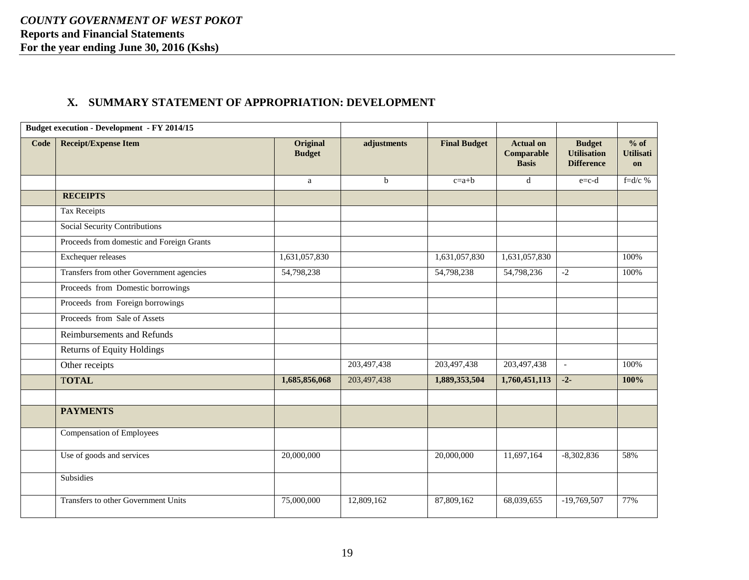# **X. SUMMARY STATEMENT OF APPROPRIATION: DEVELOPMENT**

<span id="page-18-0"></span>

|      | <b>Budget execution - Development - FY 2014/15</b> |                           |             |                     |                                                |                                                          |                                  |
|------|----------------------------------------------------|---------------------------|-------------|---------------------|------------------------------------------------|----------------------------------------------------------|----------------------------------|
| Code | <b>Receipt/Expense Item</b>                        | Original<br><b>Budget</b> | adjustments | <b>Final Budget</b> | <b>Actual on</b><br>Comparable<br><b>Basis</b> | <b>Budget</b><br><b>Utilisation</b><br><b>Difference</b> | $%$ of<br><b>Utilisati</b><br>on |
|      |                                                    | $\mathbf{a}$              | $\mathbf b$ | $c=a+b$             | d                                              | $e=c-d$                                                  | f= $d/c$ %                       |
|      | <b>RECEIPTS</b>                                    |                           |             |                     |                                                |                                                          |                                  |
|      | Tax Receipts                                       |                           |             |                     |                                                |                                                          |                                  |
|      | <b>Social Security Contributions</b>               |                           |             |                     |                                                |                                                          |                                  |
|      | Proceeds from domestic and Foreign Grants          |                           |             |                     |                                                |                                                          |                                  |
|      | Exchequer releases                                 | 1,631,057,830             |             | 1,631,057,830       | 1,631,057,830                                  |                                                          | 100%                             |
|      | Transfers from other Government agencies           | 54,798,238                |             | 54,798,238          | 54,798,236                                     | $-2$                                                     | 100%                             |
|      | Proceeds from Domestic borrowings                  |                           |             |                     |                                                |                                                          |                                  |
|      | Proceeds from Foreign borrowings                   |                           |             |                     |                                                |                                                          |                                  |
|      | Proceeds from Sale of Assets                       |                           |             |                     |                                                |                                                          |                                  |
|      | Reimbursements and Refunds                         |                           |             |                     |                                                |                                                          |                                  |
|      | <b>Returns of Equity Holdings</b>                  |                           |             |                     |                                                |                                                          |                                  |
|      | Other receipts                                     |                           | 203,497,438 | 203,497,438         | 203,497,438                                    | $\blacksquare$                                           | 100%                             |
|      | <b>TOTAL</b>                                       | 1,685,856,068             | 203,497,438 | 1,889,353,504       | 1,760,451,113                                  | $-2-$                                                    | 100%                             |
|      |                                                    |                           |             |                     |                                                |                                                          |                                  |
|      | <b>PAYMENTS</b>                                    |                           |             |                     |                                                |                                                          |                                  |
|      | <b>Compensation of Employees</b>                   |                           |             |                     |                                                |                                                          |                                  |
|      | Use of goods and services                          | 20,000,000                |             | 20,000,000          | 11,697,164                                     | $-8,302,836$                                             | 58%                              |
|      | Subsidies                                          |                           |             |                     |                                                |                                                          |                                  |
|      | Transfers to other Government Units                | 75,000,000                | 12,809,162  | 87,809,162          | 68,039,655                                     | $-19,769,507$                                            | 77%                              |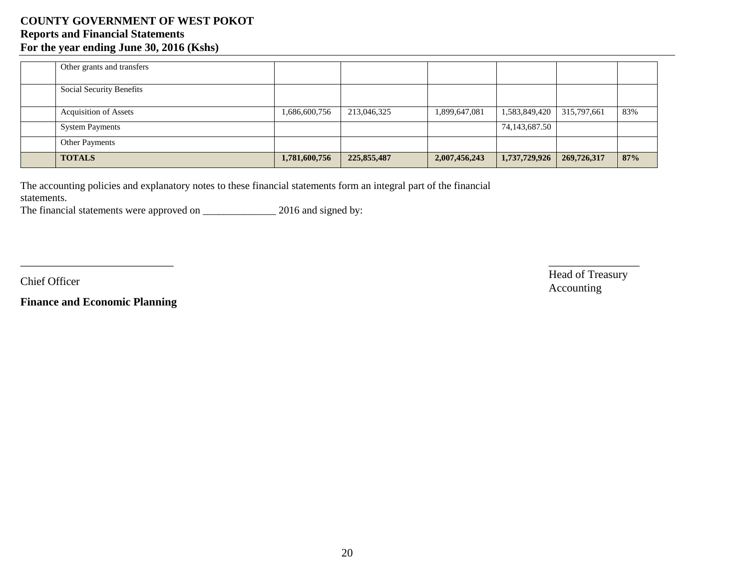| Other grants and transfers   |               |             |               |               |             |     |
|------------------------------|---------------|-------------|---------------|---------------|-------------|-----|
| Social Security Benefits     |               |             |               |               |             |     |
| <b>Acquisition of Assets</b> | 1,686,600,756 | 213,046,325 | 1,899,647,081 | 1,583,849,420 | 315,797,661 | 83% |
| <b>System Payments</b>       |               |             |               | 74,143,687.50 |             |     |
| <b>Other Payments</b>        |               |             |               |               |             |     |
| <b>TOTALS</b>                | 1,781,600,756 | 225,855,487 | 2,007,456,243 | 1,737,729,926 | 269,726,317 | 87% |

 $\overline{\phantom{a}}$  , and the contract of the contract of the contract of the contract of the contract of the contract of the contract of the contract of the contract of the contract of the contract of the contract of the contrac

The accounting policies and explanatory notes to these financial statements form an integral part of the financial statements.

The financial statements were approved on \_\_\_\_\_\_\_\_\_\_\_\_\_\_\_\_\_\_\_ 2016 and signed by:

**Finance and Economic Planning**

Chief Officer Head of Treasury Head of Treasury Accounting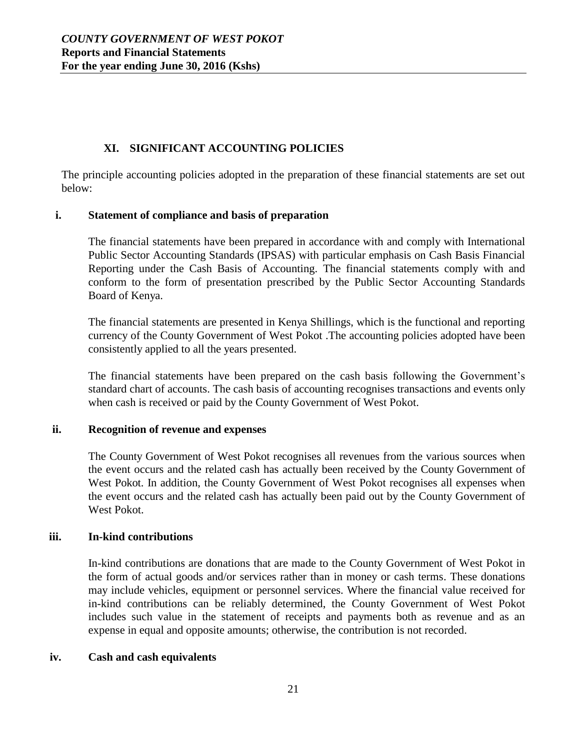# **XI. SIGNIFICANT ACCOUNTING POLICIES**

<span id="page-20-0"></span>The principle accounting policies adopted in the preparation of these financial statements are set out below:

### **i. Statement of compliance and basis of preparation**

The financial statements have been prepared in accordance with and comply with International Public Sector Accounting Standards (IPSAS) with particular emphasis on Cash Basis Financial Reporting under the Cash Basis of Accounting. The financial statements comply with and conform to the form of presentation prescribed by the Public Sector Accounting Standards Board of Kenya.

The financial statements are presented in Kenya Shillings, which is the functional and reporting currency of the County Government of West Pokot .The accounting policies adopted have been consistently applied to all the years presented.

The financial statements have been prepared on the cash basis following the Government's standard chart of accounts. The cash basis of accounting recognises transactions and events only when cash is received or paid by the County Government of West Pokot.

## **ii. Recognition of revenue and expenses**

The County Government of West Pokot recognises all revenues from the various sources when the event occurs and the related cash has actually been received by the County Government of West Pokot. In addition, the County Government of West Pokot recognises all expenses when the event occurs and the related cash has actually been paid out by the County Government of West Pokot.

#### **iii. In-kind contributions**

In-kind contributions are donations that are made to the County Government of West Pokot in the form of actual goods and/or services rather than in money or cash terms. These donations may include vehicles, equipment or personnel services. Where the financial value received for in-kind contributions can be reliably determined, the County Government of West Pokot includes such value in the statement of receipts and payments both as revenue and as an expense in equal and opposite amounts; otherwise, the contribution is not recorded.

#### **iv. Cash and cash equivalents**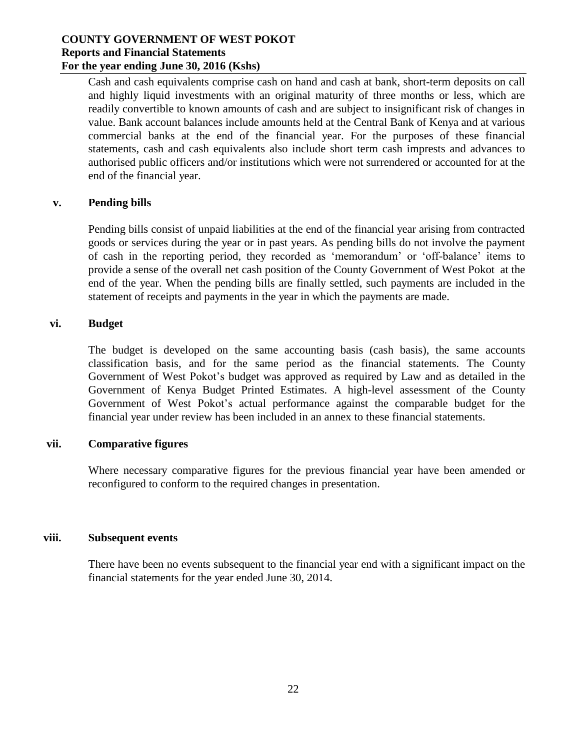Cash and cash equivalents comprise cash on hand and cash at bank, short-term deposits on call and highly liquid investments with an original maturity of three months or less, which are readily convertible to known amounts of cash and are subject to insignificant risk of changes in value. Bank account balances include amounts held at the Central Bank of Kenya and at various commercial banks at the end of the financial year. For the purposes of these financial statements, cash and cash equivalents also include short term cash imprests and advances to authorised public officers and/or institutions which were not surrendered or accounted for at the end of the financial year.

#### **v. Pending bills**

Pending bills consist of unpaid liabilities at the end of the financial year arising from contracted goods or services during the year or in past years. As pending bills do not involve the payment of cash in the reporting period, they recorded as 'memorandum' or 'off-balance' items to provide a sense of the overall net cash position of the County Government of West Pokot at the end of the year. When the pending bills are finally settled, such payments are included in the statement of receipts and payments in the year in which the payments are made.

### **vi. Budget**

The budget is developed on the same accounting basis (cash basis), the same accounts classification basis, and for the same period as the financial statements. The County Government of West Pokot's budget was approved as required by Law and as detailed in the Government of Kenya Budget Printed Estimates. A high-level assessment of the County Government of West Pokot's actual performance against the comparable budget for the financial year under review has been included in an annex to these financial statements.

## **vii. Comparative figures**

Where necessary comparative figures for the previous financial year have been amended or reconfigured to conform to the required changes in presentation.

#### **viii. Subsequent events**

There have been no events subsequent to the financial year end with a significant impact on the financial statements for the year ended June 30, 2014.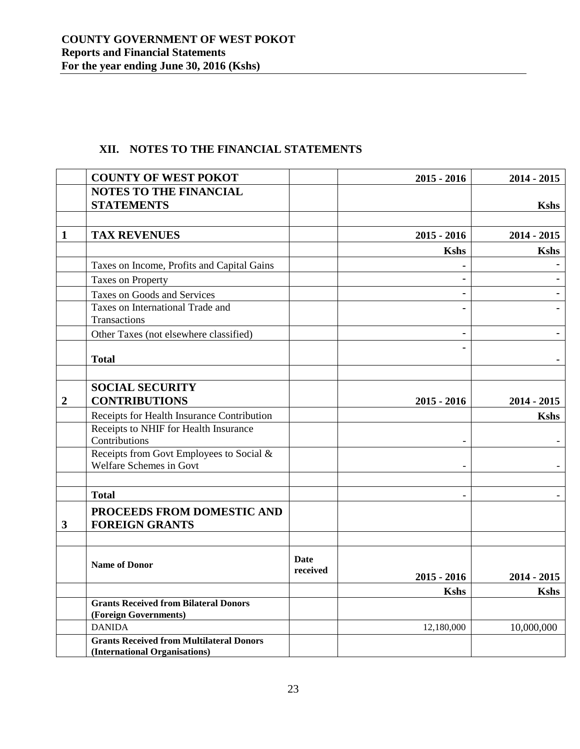# **XII. NOTES TO THE FINANCIAL STATEMENTS**

<span id="page-22-0"></span>

|                  | <b>COUNTY OF WEST POKOT</b>                                                      |                  | $2015 - 2016$ | $2014 - 2015$ |
|------------------|----------------------------------------------------------------------------------|------------------|---------------|---------------|
|                  | <b>NOTES TO THE FINANCIAL</b>                                                    |                  |               |               |
|                  | <b>STATEMENTS</b>                                                                |                  |               | <b>Kshs</b>   |
|                  |                                                                                  |                  |               |               |
| $\mathbf{1}$     | <b>TAX REVENUES</b>                                                              |                  | $2015 - 2016$ | $2014 - 2015$ |
|                  |                                                                                  |                  | <b>Kshs</b>   | <b>Kshs</b>   |
|                  | Taxes on Income, Profits and Capital Gains                                       |                  |               |               |
|                  | <b>Taxes on Property</b>                                                         |                  | ä,            |               |
|                  | Taxes on Goods and Services                                                      |                  |               |               |
|                  | Taxes on International Trade and<br>Transactions                                 |                  |               |               |
|                  | Other Taxes (not elsewhere classified)                                           |                  | -             |               |
|                  | <b>Total</b>                                                                     |                  |               |               |
|                  |                                                                                  |                  |               |               |
| $\boldsymbol{2}$ | <b>SOCIAL SECURITY</b><br><b>CONTRIBUTIONS</b>                                   |                  | $2015 - 2016$ | $2014 - 2015$ |
|                  | Receipts for Health Insurance Contribution                                       |                  |               | <b>Kshs</b>   |
|                  | Receipts to NHIF for Health Insurance<br>Contributions                           |                  |               |               |
|                  | Receipts from Govt Employees to Social &<br>Welfare Schemes in Govt              |                  |               |               |
|                  | <b>Total</b>                                                                     |                  |               |               |
| 3                | PROCEEDS FROM DOMESTIC AND<br><b>FOREIGN GRANTS</b>                              |                  |               |               |
|                  | <b>Name of Donor</b>                                                             | Date<br>received | $2015 - 2016$ | $2014 - 2015$ |
|                  |                                                                                  |                  | <b>Kshs</b>   | <b>Kshs</b>   |
|                  | <b>Grants Received from Bilateral Donors</b><br>(Foreign Governments)            |                  |               |               |
|                  | <b>DANIDA</b>                                                                    |                  | 12,180,000    | 10,000,000    |
|                  | <b>Grants Received from Multilateral Donors</b><br>(International Organisations) |                  |               |               |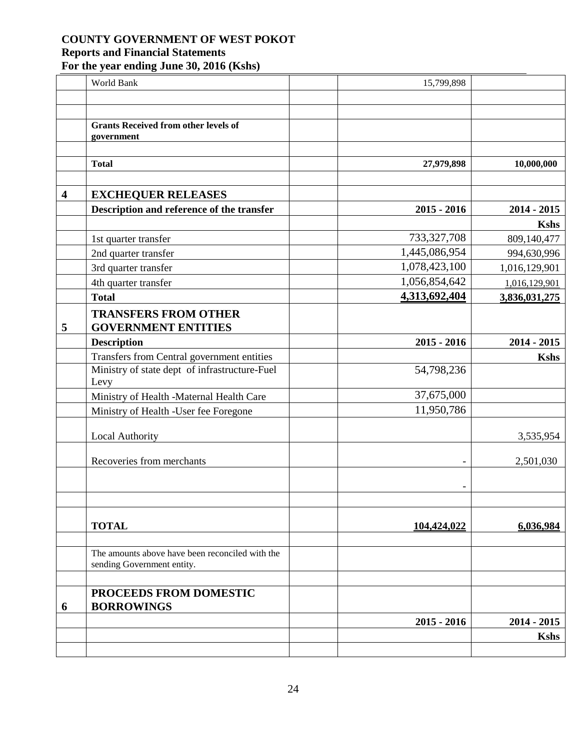|                         | World Bank                                      | 15,799,898    |               |
|-------------------------|-------------------------------------------------|---------------|---------------|
|                         |                                                 |               |               |
|                         |                                                 |               |               |
|                         | <b>Grants Received from other levels of</b>     |               |               |
|                         | government                                      |               |               |
|                         | <b>Total</b>                                    | 27,979,898    | 10,000,000    |
|                         |                                                 |               |               |
| $\overline{\mathbf{4}}$ | <b>EXCHEQUER RELEASES</b>                       |               |               |
|                         | Description and reference of the transfer       | $2015 - 2016$ | $2014 - 2015$ |
|                         |                                                 |               | <b>Kshs</b>   |
|                         | 1st quarter transfer                            | 733, 327, 708 | 809,140,477   |
|                         | 2nd quarter transfer                            | 1,445,086,954 | 994,630,996   |
|                         | 3rd quarter transfer                            | 1,078,423,100 | 1,016,129,901 |
|                         | 4th quarter transfer                            | 1,056,854,642 | 1,016,129,901 |
|                         | <b>Total</b>                                    | 4,313,692,404 | 3,836,031,275 |
|                         | <b>TRANSFERS FROM OTHER</b>                     |               |               |
| 5                       | <b>GOVERNMENT ENTITIES</b>                      |               |               |
|                         | <b>Description</b>                              | $2015 - 2016$ | $2014 - 2015$ |
|                         | Transfers from Central government entities      |               | <b>Kshs</b>   |
|                         | Ministry of state dept of infrastructure-Fuel   | 54,798,236    |               |
|                         | Levy                                            |               |               |
|                         | Ministry of Health -Maternal Health Care        | 37,675,000    |               |
|                         | Ministry of Health -User fee Foregone           | 11,950,786    |               |
|                         | Local Authority                                 |               | 3,535,954     |
|                         |                                                 |               |               |
|                         | Recoveries from merchants                       |               | 2,501,030     |
|                         |                                                 |               |               |
|                         |                                                 |               |               |
|                         |                                                 |               |               |
|                         | <b>TOTAL</b>                                    | 104,424,022   | 6,036,984     |
|                         |                                                 |               |               |
|                         | The amounts above have been reconciled with the |               |               |
|                         | sending Government entity.                      |               |               |
|                         | PROCEEDS FROM DOMESTIC                          |               |               |
| 6                       | <b>BORROWINGS</b>                               |               |               |
|                         |                                                 | $2015 - 2016$ | $2014 - 2015$ |
|                         |                                                 |               | <b>Kshs</b>   |
|                         |                                                 |               |               |
|                         |                                                 |               |               |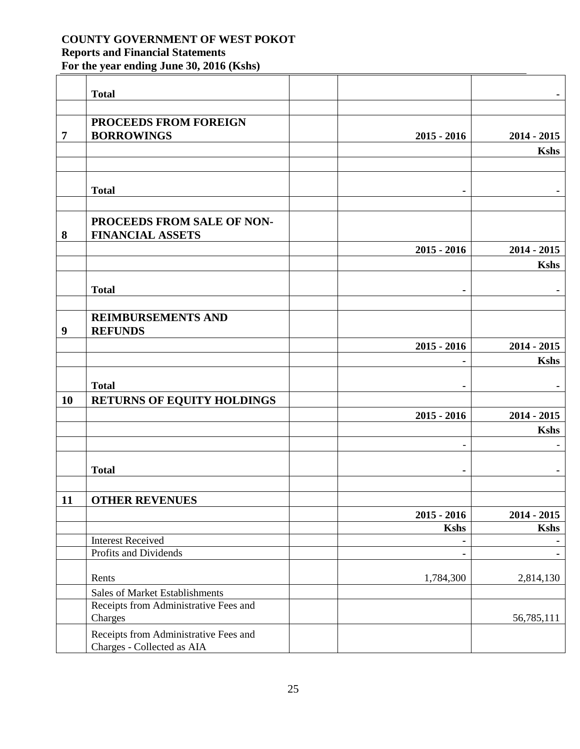|                  | <b>Total</b>                                                        |                          |               |
|------------------|---------------------------------------------------------------------|--------------------------|---------------|
|                  |                                                                     |                          |               |
|                  | PROCEEDS FROM FOREIGN                                               |                          |               |
| $\overline{7}$   | <b>BORROWINGS</b>                                                   | $2015 - 2016$            | $2014 - 2015$ |
|                  |                                                                     |                          | <b>Kshs</b>   |
|                  |                                                                     |                          |               |
|                  |                                                                     |                          |               |
|                  | <b>Total</b>                                                        | $\blacksquare$           |               |
|                  |                                                                     |                          |               |
|                  | PROCEEDS FROM SALE OF NON-                                          |                          |               |
| 8                | <b>FINANCIAL ASSETS</b>                                             |                          |               |
|                  |                                                                     | $2015 - 2016$            | $2014 - 2015$ |
|                  |                                                                     |                          | <b>Kshs</b>   |
|                  | <b>Total</b>                                                        |                          |               |
|                  |                                                                     | $\blacksquare$           |               |
|                  | <b>REIMBURSEMENTS AND</b>                                           |                          |               |
| $\boldsymbol{9}$ | <b>REFUNDS</b>                                                      |                          |               |
|                  |                                                                     | $2015 - 2016$            | $2014 - 2015$ |
|                  |                                                                     | ۰                        | <b>Kshs</b>   |
|                  |                                                                     |                          |               |
|                  | <b>Total</b>                                                        | ۰                        |               |
| <b>10</b>        | <b>RETURNS OF EQUITY HOLDINGS</b>                                   |                          |               |
|                  |                                                                     | $2015 - 2016$            | $2014 - 2015$ |
|                  |                                                                     |                          | <b>Kshs</b>   |
|                  |                                                                     | $\overline{\phantom{a}}$ |               |
|                  |                                                                     |                          |               |
|                  | <b>Total</b>                                                        | ٠                        |               |
|                  |                                                                     |                          |               |
| 11               | <b>OTHER REVENUES</b>                                               |                          |               |
|                  |                                                                     | $2015 - 2016$            | $2014 - 2015$ |
|                  |                                                                     | <b>Kshs</b>              | Kshs          |
|                  | <b>Interest Received</b>                                            | ٠                        |               |
|                  | Profits and Dividends                                               | ٠                        |               |
|                  | Rents                                                               | 1,784,300                | 2,814,130     |
|                  | <b>Sales of Market Establishments</b>                               |                          |               |
|                  | Receipts from Administrative Fees and                               |                          |               |
|                  | Charges                                                             |                          | 56,785,111    |
|                  | Receipts from Administrative Fees and<br>Charges - Collected as AIA |                          |               |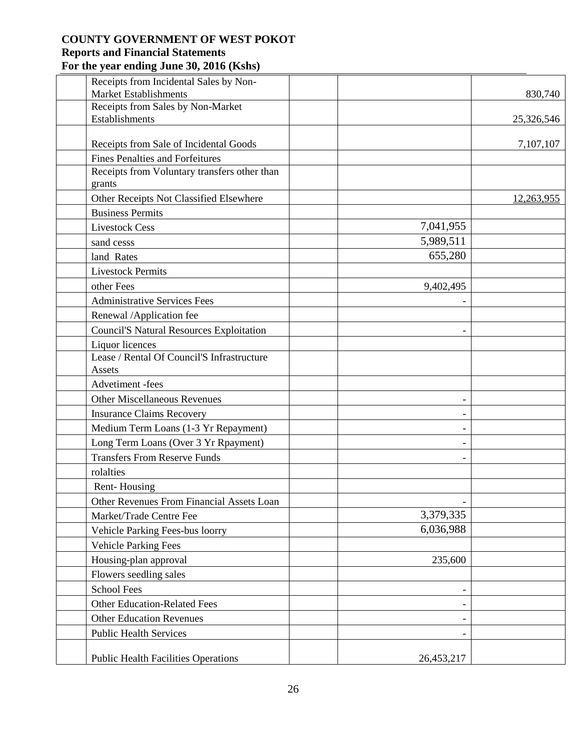|                          | Receipts from Incidental Sales by Non-<br><b>Market Establishments</b> |                          | 830,740    |
|--------------------------|------------------------------------------------------------------------|--------------------------|------------|
|                          | Receipts from Sales by Non-Market                                      |                          |            |
| Establishments           |                                                                        |                          | 25,326,546 |
|                          |                                                                        |                          |            |
|                          | Receipts from Sale of Incidental Goods                                 |                          | 7,107,107  |
|                          | <b>Fines Penalties and Forfeitures</b>                                 |                          |            |
| grants                   | Receipts from Voluntary transfers other than                           |                          |            |
|                          | Other Receipts Not Classified Elsewhere                                |                          | 12,263,955 |
| <b>Business Permits</b>  |                                                                        |                          |            |
| <b>Livestock Cess</b>    |                                                                        | 7,041,955                |            |
| sand cesss               |                                                                        | 5,989,511                |            |
| land Rates               |                                                                        | 655,280                  |            |
| <b>Livestock Permits</b> |                                                                        |                          |            |
| other Fees               |                                                                        | 9,402,495                |            |
|                          | <b>Administrative Services Fees</b>                                    |                          |            |
|                          | Renewal /Application fee                                               |                          |            |
|                          | <b>Council'S Natural Resources Exploitation</b>                        |                          |            |
| Liquor licences          |                                                                        |                          |            |
| Assets                   | Lease / Rental Of Council'S Infrastructure                             |                          |            |
| Advetiment -fees         |                                                                        |                          |            |
|                          | <b>Other Miscellaneous Revenues</b>                                    |                          |            |
|                          | <b>Insurance Claims Recovery</b>                                       | $\qquad \qquad -$        |            |
|                          | Medium Term Loans (1-3 Yr Repayment)                                   | $\overline{\phantom{a}}$ |            |
|                          | Long Term Loans (Over 3 Yr Rpayment)                                   |                          |            |
|                          | <b>Transfers From Reserve Funds</b>                                    |                          |            |
| rolalties                |                                                                        |                          |            |
| Rent-Housing             |                                                                        |                          |            |
|                          | Other Revenues From Financial Assets Loan                              |                          |            |
|                          | Market/Trade Centre Fee                                                | 3,379,335                |            |
|                          | Vehicle Parking Fees-bus loorry                                        | 6,036,988                |            |
|                          | <b>Vehicle Parking Fees</b>                                            |                          |            |
|                          | Housing-plan approval                                                  | 235,600                  |            |
|                          | Flowers seedling sales                                                 |                          |            |
| <b>School Fees</b>       |                                                                        | -                        |            |
|                          | <b>Other Education-Related Fees</b>                                    | $\overline{\phantom{a}}$ |            |
|                          | <b>Other Education Revenues</b>                                        |                          |            |
|                          | <b>Public Health Services</b>                                          |                          |            |
|                          | <b>Public Health Facilities Operations</b>                             | 26,453,217               |            |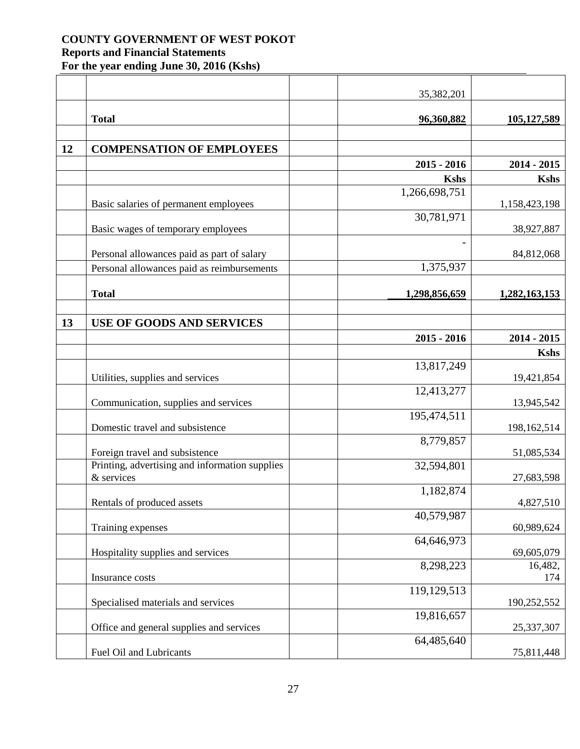|    |                                                | 35,382,201    |                       |
|----|------------------------------------------------|---------------|-----------------------|
|    | <b>Total</b>                                   | 96,360,882    | 105,127,589           |
|    |                                                |               |                       |
| 12 | <b>COMPENSATION OF EMPLOYEES</b>               |               |                       |
|    |                                                | $2015 - 2016$ | $2014 - 2015$         |
|    |                                                | <b>Kshs</b>   | <b>Kshs</b>           |
|    |                                                | 1,266,698,751 |                       |
|    | Basic salaries of permanent employees          |               | 1,158,423,198         |
|    |                                                | 30,781,971    |                       |
|    | Basic wages of temporary employees             |               | 38,927,887            |
|    |                                                |               |                       |
|    | Personal allowances paid as part of salary     |               | 84,812,068            |
|    | Personal allowances paid as reimbursements     | 1,375,937     |                       |
|    |                                                |               |                       |
|    | <b>Total</b>                                   | 1,298,856,659 | 1,282,163,153         |
|    |                                                |               |                       |
| 13 | <b>USE OF GOODS AND SERVICES</b>               |               |                       |
|    |                                                | $2015 - 2016$ | $2014 - 2015$         |
|    |                                                |               | <b>Kshs</b>           |
|    |                                                | 13,817,249    |                       |
|    | Utilities, supplies and services               |               | 19,421,854            |
|    |                                                | 12,413,277    |                       |
|    | Communication, supplies and services           |               | 13,945,542            |
|    | Domestic travel and subsistence                | 195,474,511   | 198,162,514           |
|    |                                                | 8,779,857     |                       |
|    | Foreign travel and subsistence                 |               | 51,085,534            |
|    | Printing, advertising and information supplies | 32,594,801    |                       |
|    | & services                                     |               | 27,683,598            |
|    |                                                | 1,182,874     |                       |
|    | Rentals of produced assets                     |               | 4,827,510             |
|    |                                                | 40,579,987    |                       |
|    | Training expenses                              |               | 60,989,624            |
|    |                                                | 64,646,973    |                       |
|    | Hospitality supplies and services              | 8,298,223     | 69,605,079<br>16,482, |
|    | Insurance costs                                |               | 174                   |
|    |                                                | 119,129,513   |                       |
|    | Specialised materials and services             |               | 190,252,552           |
|    |                                                | 19,816,657    |                       |
|    | Office and general supplies and services       |               | 25,337,307            |
|    |                                                | 64,485,640    |                       |
|    | Fuel Oil and Lubricants                        |               | 75,811,448            |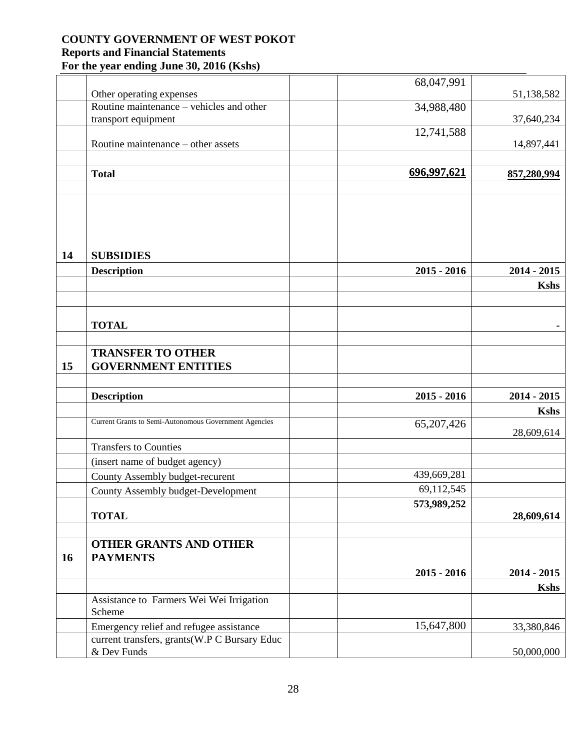|    |                                                                      | 68,047,991    |               |
|----|----------------------------------------------------------------------|---------------|---------------|
|    | Other operating expenses<br>Routine maintenance – vehicles and other |               | 51,138,582    |
|    | transport equipment                                                  | 34,988,480    | 37,640,234    |
|    |                                                                      | 12,741,588    |               |
|    | Routine maintenance - other assets                                   |               | 14,897,441    |
|    |                                                                      |               |               |
|    |                                                                      | 696,997,621   |               |
|    | <b>Total</b>                                                         |               | 857,280,994   |
|    |                                                                      |               |               |
| 14 | <b>SUBSIDIES</b>                                                     |               |               |
|    | <b>Description</b>                                                   | $2015 - 2016$ | $2014 - 2015$ |
|    |                                                                      |               | <b>Kshs</b>   |
|    |                                                                      |               |               |
|    |                                                                      |               |               |
|    | <b>TOTAL</b>                                                         |               |               |
|    |                                                                      |               |               |
|    | <b>TRANSFER TO OTHER</b>                                             |               |               |
| 15 | <b>GOVERNMENT ENTITIES</b>                                           |               |               |
|    |                                                                      |               |               |
|    | <b>Description</b>                                                   | $2015 - 2016$ | $2014 - 2015$ |
|    |                                                                      |               | <b>Kshs</b>   |
|    | Current Grants to Semi-Autonomous Government Agencies                | 65,207,426    |               |
|    |                                                                      |               | 28,609,614    |
|    | <b>Transfers to Counties</b>                                         |               |               |
|    | (insert name of budget agency)                                       |               |               |
|    | County Assembly budget-recurent                                      | 439,669,281   |               |
|    | County Assembly budget-Development                                   | 69,112,545    |               |
|    |                                                                      | 573,989,252   |               |
|    | <b>TOTAL</b>                                                         |               | 28,609,614    |
|    |                                                                      |               |               |
| 16 | <b>OTHER GRANTS AND OTHER</b><br><b>PAYMENTS</b>                     |               |               |
|    |                                                                      | $2015 - 2016$ | $2014 - 2015$ |
|    |                                                                      |               | <b>Kshs</b>   |
|    | Assistance to Farmers Wei Wei Irrigation<br>Scheme                   |               |               |
|    | Emergency relief and refugee assistance                              | 15,647,800    | 33,380,846    |
|    | current transfers, grants(W.P C Bursary Educ                         |               |               |
|    | & Dev Funds                                                          |               | 50,000,000    |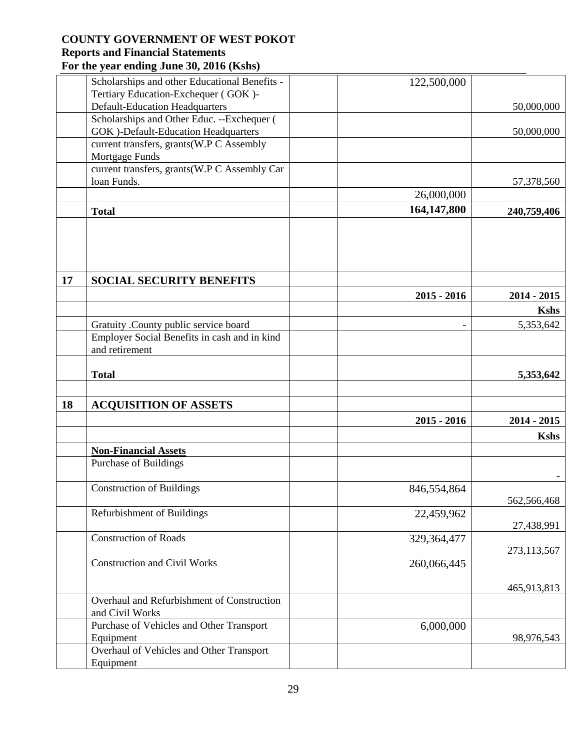|    | Scholarships and other Educational Benefits - | 122,500,000   |               |
|----|-----------------------------------------------|---------------|---------------|
|    | Tertiary Education-Exchequer (GOK)-           |               |               |
|    | <b>Default-Education Headquarters</b>         |               | 50,000,000    |
|    | Scholarships and Other Educ. --Exchequer (    |               |               |
|    | <b>GOK</b> )-Default-Education Headquarters   |               | 50,000,000    |
|    | current transfers, grants(W.P C Assembly      |               |               |
|    | Mortgage Funds                                |               |               |
|    | current transfers, grants(W.P C Assembly Car  |               |               |
|    | loan Funds.                                   |               | 57,378,560    |
|    |                                               | 26,000,000    |               |
|    | <b>Total</b>                                  | 164,147,800   | 240,759,406   |
|    |                                               |               |               |
|    |                                               |               |               |
| 17 | <b>SOCIAL SECURITY BENEFITS</b>               |               |               |
|    |                                               | $2015 - 2016$ | $2014 - 2015$ |
|    |                                               |               | <b>Kshs</b>   |
|    | Gratuity .County public service board         |               | 5,353,642     |
|    | Employer Social Benefits in cash and in kind  |               |               |
|    | and retirement                                |               |               |
|    |                                               |               |               |
|    | <b>Total</b>                                  |               | 5,353,642     |
|    |                                               |               |               |
| 18 | <b>ACQUISITION OF ASSETS</b>                  |               |               |
|    |                                               | $2015 - 2016$ | $2014 - 2015$ |
|    |                                               |               |               |
|    |                                               |               | <b>Kshs</b>   |
|    | <b>Non-Financial Assets</b>                   |               |               |
|    | Purchase of Buildings                         |               |               |
|    | <b>Construction of Buildings</b>              | 846,554,864   |               |
|    |                                               |               | 562,566,468   |
|    | Refurbishment of Buildings                    | 22,459,962    |               |
|    |                                               |               | 27,438,991    |
|    | <b>Construction of Roads</b>                  | 329,364,477   |               |
|    |                                               |               | 273,113,567   |
|    | <b>Construction and Civil Works</b>           | 260,066,445   |               |
|    |                                               |               |               |
|    |                                               |               | 465,913,813   |
|    | Overhaul and Refurbishment of Construction    |               |               |
|    | and Civil Works                               |               |               |
|    | Purchase of Vehicles and Other Transport      | 6,000,000     |               |
|    | Equipment                                     |               | 98,976,543    |
|    | Overhaul of Vehicles and Other Transport      |               |               |
|    | Equipment                                     |               |               |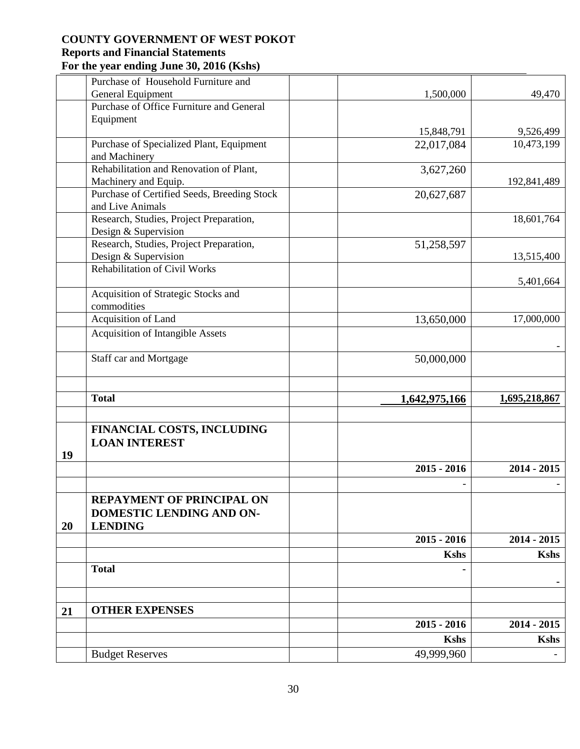|    | Purchase of Household Furniture and                          |               |               |
|----|--------------------------------------------------------------|---------------|---------------|
|    | General Equipment                                            | 1,500,000     | 49,470        |
|    | Purchase of Office Furniture and General                     |               |               |
|    | Equipment                                                    |               |               |
|    |                                                              | 15,848,791    | 9,526,499     |
|    | Purchase of Specialized Plant, Equipment                     | 22,017,084    | 10,473,199    |
|    | and Machinery                                                |               |               |
|    | Rehabilitation and Renovation of Plant,                      | 3,627,260     |               |
|    | Machinery and Equip.                                         |               | 192,841,489   |
|    | Purchase of Certified Seeds, Breeding Stock                  | 20,627,687    |               |
|    | and Live Animals                                             |               |               |
|    | Research, Studies, Project Preparation,                      |               | 18,601,764    |
|    | Design & Supervision                                         |               |               |
|    | Research, Studies, Project Preparation,                      | 51,258,597    |               |
|    | Design & Supervision                                         |               | 13,515,400    |
|    | <b>Rehabilitation of Civil Works</b>                         |               |               |
|    |                                                              |               | 5,401,664     |
|    | Acquisition of Strategic Stocks and                          |               |               |
|    | commodities                                                  |               |               |
|    | Acquisition of Land                                          | 13,650,000    | 17,000,000    |
|    | <b>Acquisition of Intangible Assets</b>                      |               |               |
|    | Staff car and Mortgage                                       | 50,000,000    |               |
|    |                                                              |               |               |
|    | <b>Total</b>                                                 | 1,642,975,166 | 1,695,218,867 |
|    |                                                              |               |               |
| 19 | FINANCIAL COSTS, INCLUDING<br><b>LOAN INTEREST</b>           |               |               |
|    |                                                              | $2015 - 2016$ | $2014 - 2015$ |
|    |                                                              |               |               |
|    |                                                              |               |               |
|    |                                                              |               |               |
|    | <b>REPAYMENT OF PRINCIPAL ON</b><br>DOMESTIC LENDING AND ON- |               |               |
| 20 | <b>LENDING</b>                                               |               |               |
|    |                                                              | $2015 - 2016$ | $2014 - 2015$ |
|    |                                                              | <b>Kshs</b>   | <b>Kshs</b>   |
|    | <b>Total</b>                                                 |               |               |
|    |                                                              |               |               |
| 21 | <b>OTHER EXPENSES</b>                                        |               |               |
|    |                                                              | $2015 - 2016$ | $2014 - 2015$ |
|    |                                                              | <b>Kshs</b>   | <b>Kshs</b>   |
|    | <b>Budget Reserves</b>                                       | 49,999,960    |               |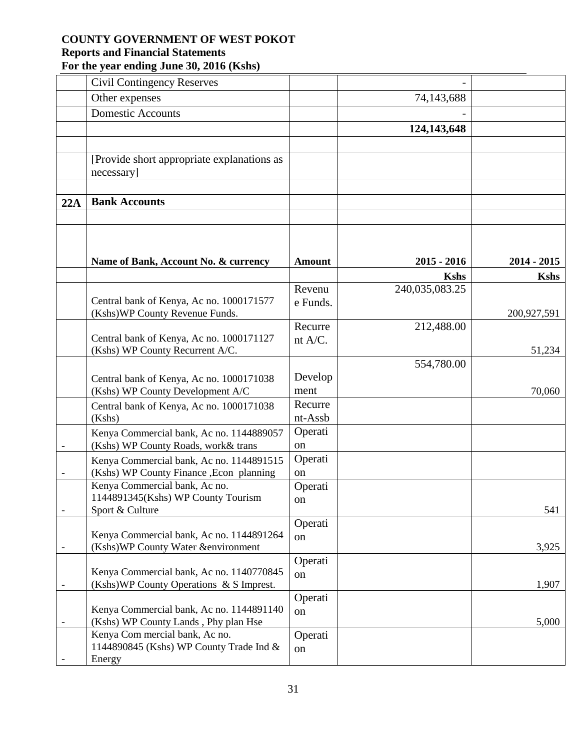|     | <b>Civil Contingency Reserves</b>                                                    |               |                               |               |
|-----|--------------------------------------------------------------------------------------|---------------|-------------------------------|---------------|
|     | Other expenses                                                                       |               | 74,143,688                    |               |
|     | <b>Domestic Accounts</b>                                                             |               |                               |               |
|     |                                                                                      |               | 124,143,648                   |               |
|     |                                                                                      |               |                               |               |
|     | [Provide short appropriate explanations as<br>necessary]                             |               |                               |               |
|     |                                                                                      |               |                               |               |
| 22A | <b>Bank Accounts</b>                                                                 |               |                               |               |
|     |                                                                                      |               |                               |               |
|     |                                                                                      |               |                               |               |
|     |                                                                                      |               |                               |               |
|     | Name of Bank, Account No. & currency                                                 | <b>Amount</b> | $2015 - 2016$                 | $2014 - 2015$ |
|     |                                                                                      | Revenu        | <b>Kshs</b><br>240,035,083.25 | <b>Kshs</b>   |
|     | Central bank of Kenya, Ac no. 1000171577                                             | e Funds.      |                               |               |
|     | (Kshs) WP County Revenue Funds.                                                      |               |                               | 200,927,591   |
|     |                                                                                      | Recurre       | 212,488.00                    |               |
|     | Central bank of Kenya, Ac no. 1000171127                                             | nt A/C.       |                               |               |
|     | (Kshs) WP County Recurrent A/C.                                                      |               | 554,780.00                    | 51,234        |
|     |                                                                                      | Develop       |                               |               |
|     | Central bank of Kenya, Ac no. 1000171038<br>(Kshs) WP County Development A/C         | ment          |                               | 70,060        |
|     | Central bank of Kenya, Ac no. 1000171038                                             | Recurre       |                               |               |
|     | (Kshs)                                                                               | nt-Assb       |                               |               |
|     | Kenya Commercial bank, Ac no. 1144889057                                             | Operati       |                               |               |
|     | (Kshs) WP County Roads, work& trans                                                  | <sub>on</sub> |                               |               |
|     | Kenya Commercial bank, Ac no. 1144891515                                             | Operati       |                               |               |
|     | (Kshs) WP County Finance , Econ planning                                             | on            |                               |               |
|     | Kenya Commercial bank, Ac no.                                                        | Operati       |                               |               |
|     | 1144891345(Kshs) WP County Tourism<br>Sport & Culture                                | on            |                               | 541           |
|     |                                                                                      | Operati       |                               |               |
|     | Kenya Commercial bank, Ac no. 1144891264                                             | on            |                               |               |
|     | (Kshs)WP County Water &environment                                                   |               |                               | 3,925         |
|     |                                                                                      | Operati       |                               |               |
|     | Kenya Commercial bank, Ac no. 1140770845<br>(Kshs) WP County Operations & S Imprest. | on            |                               | 1,907         |
|     |                                                                                      | Operati       |                               |               |
|     | Kenya Commercial bank, Ac no. 1144891140                                             | on            |                               |               |
|     | (Kshs) WP County Lands, Phy plan Hse                                                 |               |                               | 5,000         |
|     | Kenya Com mercial bank, Ac no.                                                       | Operati       |                               |               |
|     | 1144890845 (Kshs) WP County Trade Ind &                                              | on            |                               |               |
|     | Energy                                                                               |               |                               |               |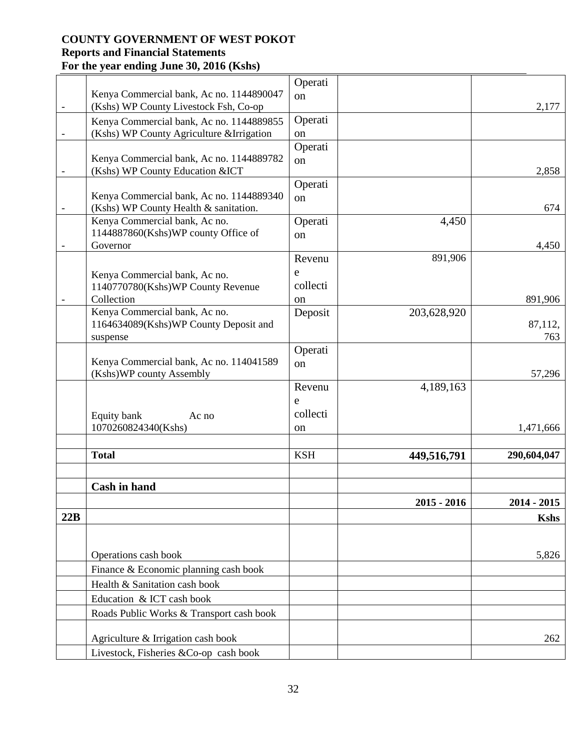|                          |                                           | Operati    |               |             |
|--------------------------|-------------------------------------------|------------|---------------|-------------|
|                          | Kenya Commercial bank, Ac no. 1144890047  | on         |               |             |
| $\overline{\phantom{0}}$ | (Kshs) WP County Livestock Fsh, Co-op     |            |               | 2,177       |
|                          | Kenya Commercial bank, Ac no. 1144889855  | Operati    |               |             |
|                          | (Kshs) WP County Agriculture & Irrigation | on         |               |             |
|                          |                                           | Operati    |               |             |
|                          | Kenya Commercial bank, Ac no. 1144889782  | on         |               |             |
| $\overline{\phantom{a}}$ | (Kshs) WP County Education & ICT          | Operati    |               | 2,858       |
|                          | Kenya Commercial bank, Ac no. 1144889340  | on         |               |             |
|                          | (Kshs) WP County Health & sanitation.     |            |               | 674         |
|                          | Kenya Commercial bank, Ac no.             | Operati    | 4,450         |             |
|                          | 1144887860(Kshs)WP county Office of       | on         |               |             |
|                          | Governor                                  |            |               | 4,450       |
|                          |                                           | Revenu     | 891,906       |             |
|                          | Kenya Commercial bank, Ac no.             | e          |               |             |
|                          | 1140770780(Kshs)WP County Revenue         | collecti   |               |             |
|                          | Collection                                | on         |               | 891,906     |
|                          | Kenya Commercial bank, Ac no.             | Deposit    | 203,628,920   |             |
|                          | 1164634089(Kshs)WP County Deposit and     |            |               | 87,112,     |
|                          | suspense                                  |            |               | 763         |
|                          | Kenya Commercial bank, Ac no. 114041589   | Operati    |               |             |
|                          | (Kshs)WP county Assembly                  | on         |               | 57,296      |
|                          |                                           | Revenu     | 4,189,163     |             |
|                          |                                           | e          |               |             |
|                          | Equity bank<br>Ac no                      | collecti   |               |             |
|                          | 1070260824340(Kshs)                       | on         |               | 1,471,666   |
|                          |                                           |            |               |             |
|                          | <b>Total</b>                              | <b>KSH</b> | 449,516,791   | 290,604,047 |
|                          |                                           |            |               |             |
|                          | <b>Cash in hand</b>                       |            |               |             |
|                          |                                           |            | $2015 - 2016$ | 2014 - 2015 |
| 22B                      |                                           |            |               | <b>Kshs</b> |
|                          |                                           |            |               |             |
|                          |                                           |            |               |             |
|                          | Operations cash book                      |            |               | 5,826       |
|                          | Finance & Economic planning cash book     |            |               |             |
|                          | Health & Sanitation cash book             |            |               |             |
|                          | Education & ICT cash book                 |            |               |             |
|                          | Roads Public Works & Transport cash book  |            |               |             |
|                          | Agriculture & Irrigation cash book        |            |               | 262         |
|                          | Livestock, Fisheries &Co-op cash book     |            |               |             |
|                          |                                           |            |               |             |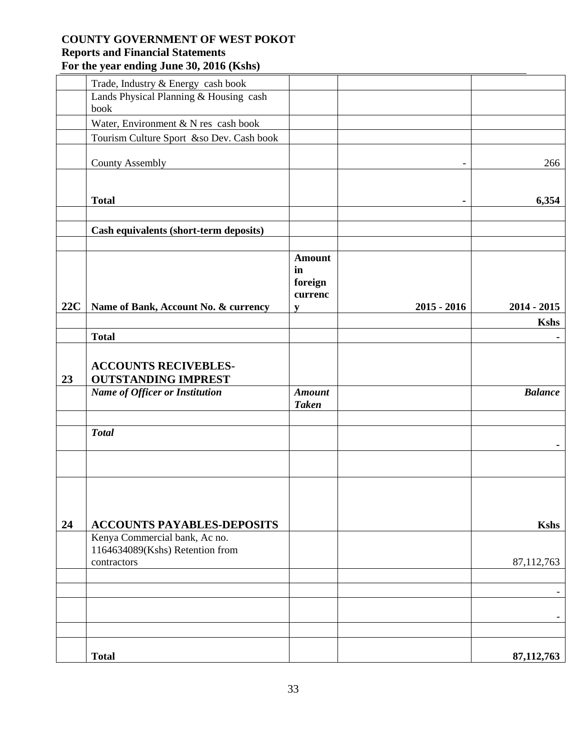|     | Trade, Industry & Energy cash book             |                                           |               |                |
|-----|------------------------------------------------|-------------------------------------------|---------------|----------------|
|     | Lands Physical Planning & Housing cash         |                                           |               |                |
|     | book                                           |                                           |               |                |
|     | Water, Environment & N res cash book           |                                           |               |                |
|     | Tourism Culture Sport &so Dev. Cash book       |                                           |               |                |
|     | <b>County Assembly</b>                         |                                           |               | 266            |
|     |                                                |                                           |               |                |
|     | <b>Total</b>                                   |                                           | ٠             | 6,354          |
|     |                                                |                                           |               |                |
|     | <b>Cash equivalents (short-term deposits)</b>  |                                           |               |                |
|     |                                                |                                           |               |                |
|     |                                                | <b>Amount</b><br>in<br>foreign<br>currenc |               |                |
| 22C | Name of Bank, Account No. & currency           | V                                         | $2015 - 2016$ | $2014 - 2015$  |
|     |                                                |                                           |               | <b>Kshs</b>    |
|     | <b>Total</b>                                   |                                           |               |                |
|     |                                                |                                           |               |                |
|     | <b>ACCOUNTS RECIVEBLES-</b>                    |                                           |               |                |
| 23  | <b>OUTSTANDING IMPREST</b>                     |                                           |               |                |
|     | <b>Name of Officer or Institution</b>          | <b>Amount</b>                             |               | <b>Balance</b> |
|     |                                                | <b>Taken</b>                              |               |                |
|     |                                                |                                           |               |                |
|     | <b>Total</b>                                   |                                           |               |                |
|     |                                                |                                           |               |                |
|     |                                                |                                           |               |                |
|     |                                                |                                           |               |                |
|     |                                                |                                           |               |                |
|     |                                                |                                           |               |                |
| 24  | <b>ACCOUNTS PAYABLES-DEPOSITS</b>              |                                           |               | <b>Kshs</b>    |
|     | Kenya Commercial bank, Ac no.                  |                                           |               |                |
|     | 1164634089(Kshs) Retention from<br>contractors |                                           |               | 87,112,763     |
|     |                                                |                                           |               |                |
|     |                                                |                                           |               |                |
|     |                                                |                                           |               |                |
|     |                                                |                                           |               |                |
|     |                                                |                                           |               |                |
|     | <b>Total</b>                                   |                                           |               | 87, 112, 763   |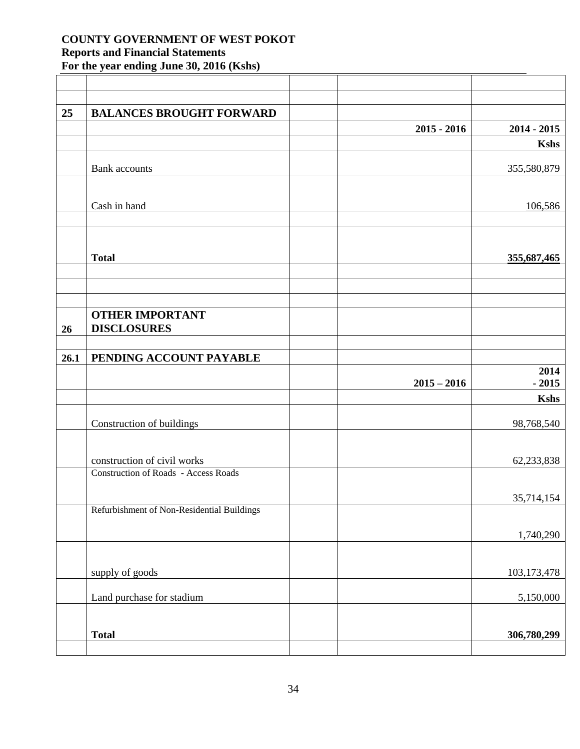| 25   | <b>BALANCES BROUGHT FORWARD</b>            |               |               |
|------|--------------------------------------------|---------------|---------------|
|      |                                            | $2015 - 2016$ | $2014 - 2015$ |
|      |                                            |               | <b>Kshs</b>   |
|      | <b>Bank</b> accounts                       |               | 355,580,879   |
|      | Cash in hand                               |               | 106,586       |
|      |                                            |               |               |
|      | <b>Total</b>                               |               | 355,687,465   |
|      |                                            |               |               |
|      | <b>OTHER IMPORTANT</b>                     |               |               |
| 26   | <b>DISCLOSURES</b>                         |               |               |
|      |                                            |               |               |
| 26.1 | PENDING ACCOUNT PAYABLE                    |               | 2014          |
|      |                                            | $2015 - 2016$ | $-2015$       |
|      |                                            |               | <b>Kshs</b>   |
|      | Construction of buildings                  |               | 98,768,540    |
|      | construction of civil works                |               | 62,233,838    |
|      | Construction of Roads - Access Roads       |               | 35,714,154    |
|      | Refurbishment of Non-Residential Buildings |               |               |
|      |                                            |               | 1,740,290     |
|      | supply of goods                            |               | 103, 173, 478 |
|      | Land purchase for stadium                  |               | 5,150,000     |
|      |                                            |               |               |
|      |                                            |               |               |
|      | <b>Total</b>                               |               | 306,780,299   |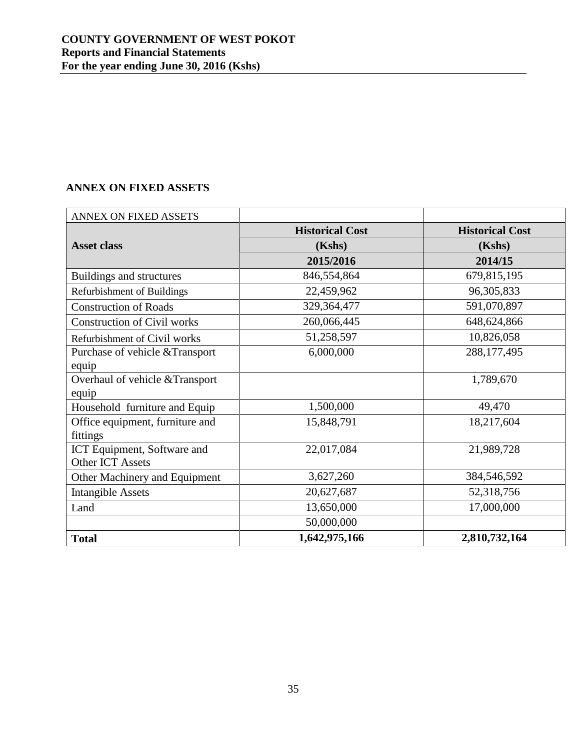# <span id="page-34-0"></span>**ANNEX ON FIXED ASSETS**

| ANNEX ON FIXED ASSETS              |                        |                        |
|------------------------------------|------------------------|------------------------|
|                                    | <b>Historical Cost</b> | <b>Historical Cost</b> |
| <b>Asset class</b>                 | (Kshs)                 | (Kshs)                 |
|                                    | 2015/2016              | 2014/15                |
| Buildings and structures           | 846,554,864            | 679,815,195            |
| Refurbishment of Buildings         | 22,459,962             | 96, 305, 833           |
| <b>Construction of Roads</b>       | 329,364,477            | 591,070,897            |
| <b>Construction of Civil works</b> | 260,066,445            | 648, 624, 866          |
| Refurbishment of Civil works       | 51,258,597             | 10,826,058             |
| Purchase of vehicle & Transport    | 6,000,000              | 288,177,495            |
| equip                              |                        |                        |
| Overhaul of vehicle & Transport    |                        | 1,789,670              |
| equip                              |                        |                        |
| Household furniture and Equip      | 1,500,000              | 49,470                 |
| Office equipment, furniture and    | 15,848,791             | 18,217,604             |
| fittings                           |                        |                        |
| ICT Equipment, Software and        | 22,017,084             | 21,989,728             |
| Other ICT Assets                   |                        |                        |
| Other Machinery and Equipment      | 3,627,260              | 384,546,592            |
| <b>Intangible Assets</b>           | 20,627,687             | 52,318,756             |
| Land                               | 13,650,000             | 17,000,000             |
|                                    | 50,000,000             |                        |
| <b>Total</b>                       | 1,642,975,166          | 2,810,732,164          |